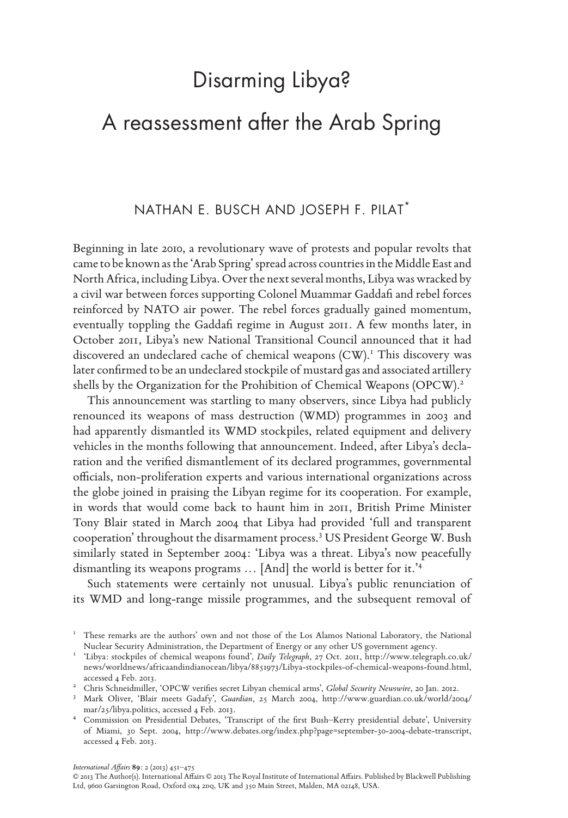# A reassessment after the Arab Spring

# NATHAN E. BUSCH AND JOSEPH F. PILAT\*

Beginning in late 2010, a revolutionary wave of protests and popular revolts that came to be known as the 'Arab Spring' spread across countries in the Middle East and North Africa, including Libya. Over the next several months, Libya was wracked by a civil war between forces supporting Colonel Muammar Gaddafi and rebel forces reinforced by NATO air power. The rebel forces gradually gained momentum, eventually toppling the Gaddafi regime in August 2011. A few months later, in October 2011, Libya's new National Transitional Council announced that it had discovered an undeclared cache of chemical weapons (CW).<sup>I</sup> This discovery was later confirmed to be an undeclared stockpile of mustard gas and associated artillery shells by the Organization for the Prohibition of Chemical Weapons (OPCW).<sup>2</sup>

This announcement was startling to many observers, since Libya had publicly renounced its weapons of mass destruction (WMD) programmes in 2003 and had apparently dismantled its WMD stockpiles, related equipment and delivery vehicles in the months following that announcement. Indeed, after Libya's declaration and the verified dismantlement of its declared programmes, governmental officials, non-proliferation experts and various international organizations across the globe joined in praising the Libyan regime for its cooperation. For example, in words that would come back to haunt him in 2011, British Prime Minister Tony Blair stated in March 2004 that Libya had provided 'full and transparent cooperation' throughout the disarmament process.<sup>3</sup> US President George W. Bush similarly stated in September 2004: 'Libya was a threat. Libya's now peacefully dismantling its weapons programs … [And] the world is better for it.'4

Such statements were certainly not unusual. Libya's public renunciation of its WMD and long-range missile programmes, and the subsequent removal of

*International Affairs* **89**: 2 (2013) 451–475

<sup>&</sup>lt;sup>1</sup> These remarks are the authors' own and not those of the Los Alamos National Laboratory, the National Nuclear Security Administration, the Department of Energy or any other US government agency. <sup>1</sup> 'Libya: stockpiles of chemical weapons found', *Daily Telegraph*, 27 Oct. 2011, http://www.telegraph.co.uk/

news/worldnews/africaandindianocean/libya/8851973/Libya-stockpiles-of-chemical-weapons-found.html, accessed 4 Feb. 2013.<br><sup>2</sup> Chris Schneidmiller, 'OPCW verifies secret Libyan chemical arms', *Global Security Newswire*, 20 Jan. 2012.<br><sup>3</sup> Mark Oliver, 'Blair meets Gadafy', *Guardian*, 25 March 2004, http://www.guardian.co

mar/25/libya.politics, accessed 4 Feb. 2013. <sup>4</sup> Commission on Presidential Debates, 'Transcript of the first Bush–Kerry presidential debate', University

of Miami, 30 Sept. 2004, http://www.debates.org/index.php?page=september-30-2004-debate-transcript, accessed 4 Feb. 2013.

<sup>© 2013</sup> The Author(s). International Affairs © 2013 The Royal Institute of International Affairs. Published by Blackwell Publishing Ltd, 9600 Garsington Road, Oxford 0x4 2DQ, UK and 350 Main Street, Malden, MA 02148, USA.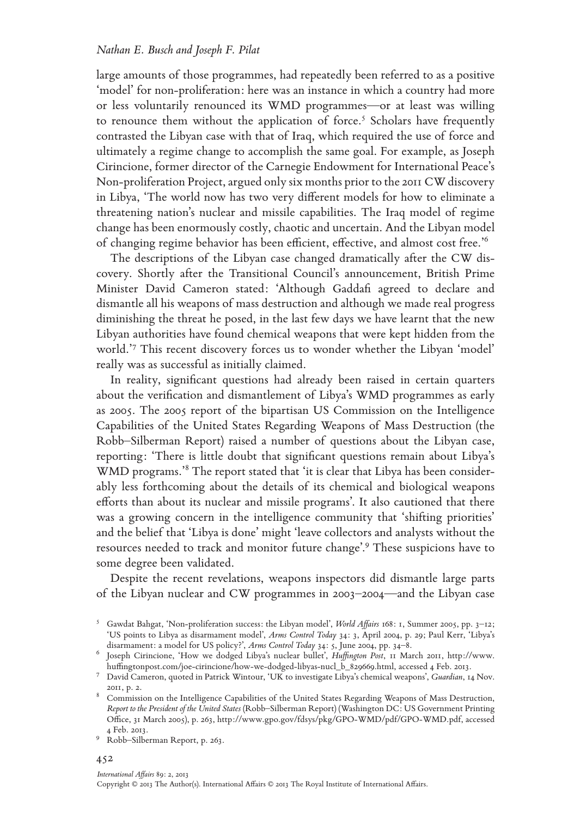large amounts of those programmes, had repeatedly been referred to as a positive 'model' for non-proliferation: here was an instance in which a country had more or less voluntarily renounced its WMD programmes—or at least was willing to renounce them without the application of force.<sup>5</sup> Scholars have frequently contrasted the Libyan case with that of Iraq, which required the use of force and ultimately a regime change to accomplish the same goal. For example, as Joseph Cirincione, former director of the Carnegie Endowment for International Peace's Non-proliferation Project, argued only six months prior to the 2011 CW discovery in Libya, 'The world now has two very different models for how to eliminate a threatening nation's nuclear and missile capabilities. The Iraq model of regime change has been enormously costly, chaotic and uncertain. And the Libyan model of changing regime behavior has been efficient, effective, and almost cost free.'6

The descriptions of the Libyan case changed dramatically after the CW discovery. Shortly after the Transitional Council's announcement, British Prime Minister David Cameron stated: 'Although Gaddafi agreed to declare and dismantle all his weapons of mass destruction and although we made real progress diminishing the threat he posed, in the last few days we have learnt that the new Libyan authorities have found chemical weapons that were kept hidden from the world.'<sup>7</sup> This recent discovery forces us to wonder whether the Libyan 'model' really was as successful as initially claimed.

In reality, significant questions had already been raised in certain quarters about the verification and dismantlement of Libya's WMD programmes as early as 2005. The 2005 report of the bipartisan US Commission on the Intelligence Capabilities of the United States Regarding Weapons of Mass Destruction (the Robb–Silberman Report) raised a number of questions about the Libyan case, reporting: 'There is little doubt that significant questions remain about Libya's WMD programs.'<sup>8</sup> The report stated that 'it is clear that Libya has been considerably less forthcoming about the details of its chemical and biological weapons efforts than about its nuclear and missile programs'. It also cautioned that there was a growing concern in the intelligence community that 'shifting priorities' and the belief that 'Libya is done' might 'leave collectors and analysts without the resources needed to track and monitor future change'.<sup>9</sup> These suspicions have to some degree been validated.

Despite the recent revelations, weapons inspectors did dismantle large parts of the Libyan nuclear and CW programmes in 2003–2004—and the Libyan case

<sup>5</sup> Gawdat Bahgat, 'Non-proliferation success: the Libyan model', *World Affairs* 168: 1, Summer 2005, pp. 3–12; 'US points to Libya as disarmament model', *Arms Control Today* 34: 3, April 2004, p. 29; Paul Kerr, 'Libya's

disarmament: a model for US policy?', *Arms Control Today* 34: 5, June 2004, pp. 34–8.<br><sup>6</sup> Joseph Cirincione, 'How we dodged Libya's nuclear bullet', *Huffington Post*, 11 March 2011, http://www.<br>huffingtonpost.com/joe-cir

<sup>&</sup>lt;sup>7</sup> David Cameron, quoted in Patrick Wintour, 'UK to investigate Libya's chemical weapons', *Guardian*, 14 Nov.  $^{\rm 2011,~ p.~ 2.}$  Commission on the Intelligence Capabilities of the United States Regarding Weapons of Mass Destruction,

*Report to the President of the United States* (Robb–Silberman Report) (Washington DC: US Government Printing Office, 31 March 2005), p. 263, http://www.gpo.gov/fdsys/pkg/GPO-WMD/pdf/GPO-WMD.pdf, accessed 4 Feb. 2013. <sup>9</sup> Robb–Silberman Report, p. 263.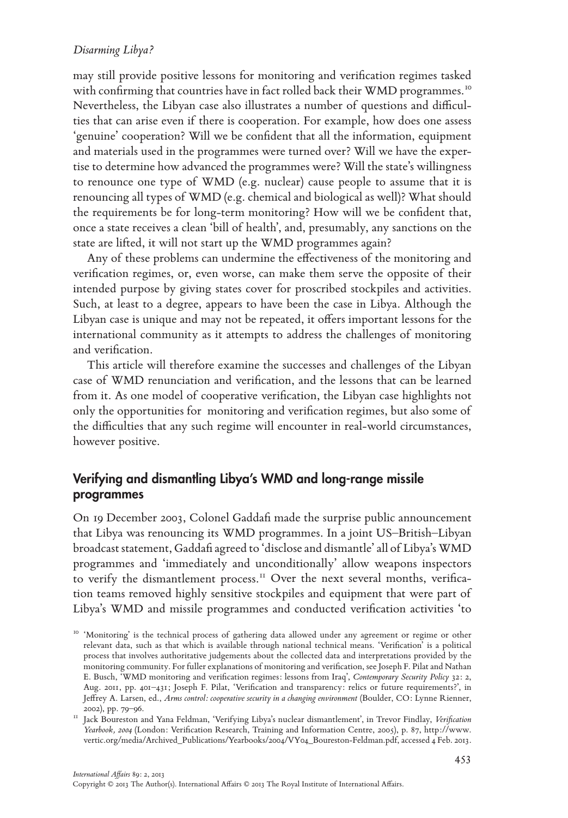may still provide positive lessons for monitoring and verification regimes tasked with confirming that countries have in fact rolled back their WMD programmes.<sup>10</sup> Nevertheless, the Libyan case also illustrates a number of questions and difficulties that can arise even if there is cooperation. For example, how does one assess 'genuine' cooperation? Will we be confident that all the information, equipment and materials used in the programmes were turned over? Will we have the expertise to determine how advanced the programmes were? Will the state's willingness to renounce one type of WMD (e.g. nuclear) cause people to assume that it is renouncing all types of WMD (e.g. chemical and biological as well)? What should the requirements be for long-term monitoring? How will we be confident that, once a state receives a clean 'bill of health', and, presumably, any sanctions on the state are lifted, it will not start up the WMD programmes again?

Any of these problems can undermine the effectiveness of the monitoring and verification regimes, or, even worse, can make them serve the opposite of their intended purpose by giving states cover for proscribed stockpiles and activities. Such, at least to a degree, appears to have been the case in Libya. Although the Libyan case is unique and may not be repeated, it offers important lessons for the international community as it attempts to address the challenges of monitoring and verification.

This article will therefore examine the successes and challenges of the Libyan case of WMD renunciation and verification, and the lessons that can be learned from it. As one model of cooperative verification, the Libyan case highlights not only the opportunities for monitoring and verification regimes, but also some of the difficulties that any such regime will encounter in real-world circumstances, however positive.

# Verifying and dismantling Libya's WMD and long-range missile programmes

On 19 December 2003, Colonel Gaddafi made the surprise public announcement that Libya was renouncing its WMD programmes. In a joint US–British–Libyan broadcast statement, Gaddafi agreed to 'disclose and dismantle' all of Libya's WMD programmes and 'immediately and unconditionally' allow weapons inspectors to verify the dismantlement process.<sup>11</sup> Over the next several months, verification teams removed highly sensitive stockpiles and equipment that were part of Libya's WMD and missile programmes and conducted verification activities 'to

<sup>&</sup>lt;sup>10</sup> 'Monitoring' is the technical process of gathering data allowed under any agreement or regime or other relevant data, such as that which is available through national technical means. 'Verification' is a political process that involves authoritative judgements about the collected data and interpretations provided by the monitoring community. For fuller explanations of monitoring and verification, see Joseph F. Pilat and Nathan E. Busch, 'WMD monitoring and verification regimes: lessons from Iraq', *Contemporary Security Policy* 32: 2, Aug. 2011, pp. 401–431; Joseph F. Pilat, 'Verification and transparency: relics or future requirements?', in Jeffrey A. Larsen, ed., *Arms control: cooperative security in a changing environment* (Boulder, CO: Lynne Rienner,

<sup>2002),</sup> pp. 79–96. <sup>11</sup> Jack Boureston and Yana Feldman, 'Verifying Libya's nuclear dismantlement', in Trevor Findlay, *Verification Yearbook, 2004* (London: Verification Research, Training and Information Centre, 2005), p. 87, http://www. vertic.org/media/Archived\_Publications/Yearbooks/2004/VY04\_Boureston-Feldman.pdf, accessed 4 Feb. 2013.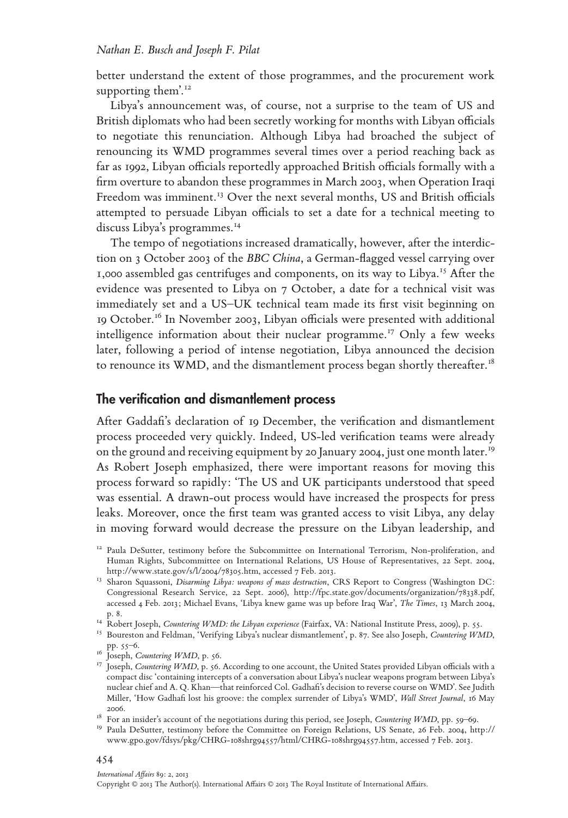better understand the extent of those programmes, and the procurement work supporting them'.<sup>12</sup>

Libya's announcement was, of course, not a surprise to the team of US and British diplomats who had been secretly working for months with Libyan officials to negotiate this renunciation. Although Libya had broached the subject of renouncing its WMD programmes several times over a period reaching back as far as 1992, Libyan officials reportedly approached British officials formally with a firm overture to abandon these programmes in March 2003, when Operation Iraqi Freedom was imminent.<sup>13</sup> Over the next several months, US and British officials attempted to persuade Libyan officials to set a date for a technical meeting to discuss Libya's programmes.<sup>14</sup>

The tempo of negotiations increased dramatically, however, after the interdiction on 3 October 2003 of the *BBC China*, a German-flagged vessel carrying over 1,000 assembled gas centrifuges and components, on its way to Libya.15 After the evidence was presented to Libya on 7 October, a date for a technical visit was immediately set and a US–UK technical team made its first visit beginning on 19 October.<sup>16</sup> In November 2003, Libyan officials were presented with additional intelligence information about their nuclear programme.<sup>17</sup> Only a few weeks later, following a period of intense negotiation, Libya announced the decision to renounce its WMD, and the dismantlement process began shortly thereafter.<sup>18</sup>

# The verification and dismantlement process

After Gaddafi's declaration of 19 December, the verification and dismantlement process proceeded very quickly. Indeed, US-led verification teams were already on the ground and receiving equipment by 20 January 2004, just one month later.<sup>19</sup> As Robert Joseph emphasized, there were important reasons for moving this process forward so rapidly: 'The US and UK participants understood that speed was essential. A drawn-out process would have increased the prospects for press leaks. Moreover, once the first team was granted access to visit Libya, any delay in moving forward would decrease the pressure on the Libyan leadership, and

- 
- <sup>14</sup> Robert Joseph, *Countering WMD: the Libyan experience* (Fairfax, VA: National Institute Press, 2009), p. 55.<br><sup>15</sup> Boureston and Feldman, 'Verifying Libya's nuclear dismantlement', p. 87. See also Joseph, *Countering*
- 
- <sup>17</sup> Joseph, *Countering WMD*, p. 56. According to one account, the United States provided Libyan officials with a compact disc 'containing intercepts of a conversation about Libya's nuclear weapons program between Libya's nuclear chief and A. Q. Khan—that reinforced Col. Gadhafi's decision to reverse course on WMD'. See Judith Miller, 'How Gadhafi lost his groove: the complex surrender of Libya's WMD', *Wall Street Journal*, 16 May
- <sup>18</sup> For an insider's account of the negotiations during this period, see Joseph, *Countering WMD*, pp. 59–69. <sup>19</sup> Paula DeSutter, testimony before the Committee on Foreign Relations, US Senate, 26 Feb. 2004, http://
- www.gpo.gov/fdsys/pkg/CHRG-108shrg94557/html/CHRG-108shrg94557.htm, accessed 7 Feb. 2013.

<sup>&</sup>lt;sup>12</sup> Paula DeSutter, testimony before the Subcommittee on International Terrorism, Non-proliferation, and Human Rights, Subcommittee on International Relations, US House of Representatives, 22 Sept. 2004,

http://www.state.gov/s/l/2004/78305.htm, accessed 7 Feb. 2013. <sup>13</sup> Sharon Squassoni, *Disarming Libya: weapons of mass destruction*, CRS Report to Congress (Washington DC: Congressional Research Service, 22 Sept. 2006), http://fpc.state.gov/documents/organization/78338.pdf, accessed 4 Feb. 2013; Michael Evans, 'Libya knew game was up before Iraq War', *The Times*, 13 March 2004,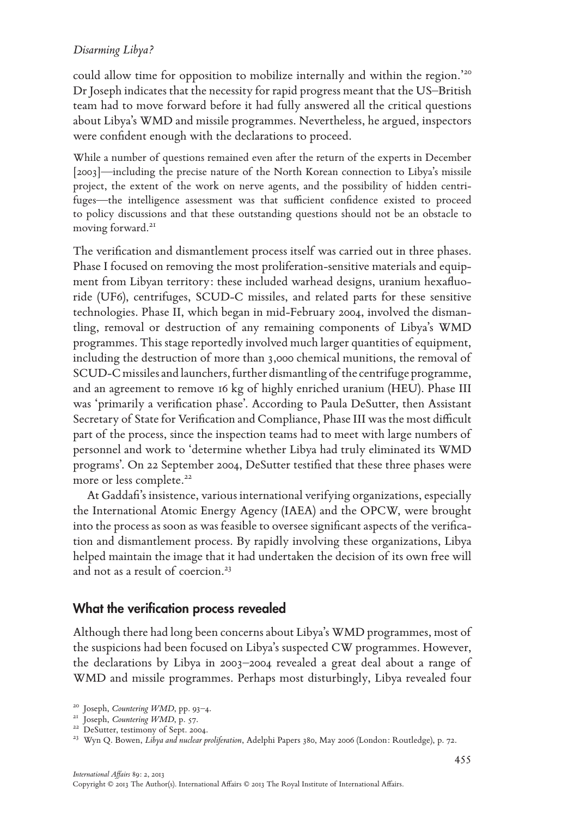could allow time for opposition to mobilize internally and within the region.'20 Dr Joseph indicates that the necessity for rapid progress meant that the US–British team had to move forward before it had fully answered all the critical questions about Libya's WMD and missile programmes. Nevertheless, he argued, inspectors were confident enough with the declarations to proceed.

While a number of questions remained even after the return of the experts in December [2003]—including the precise nature of the North Korean connection to Libya's missile project, the extent of the work on nerve agents, and the possibility of hidden centrifuges—the intelligence assessment was that sufficient confidence existed to proceed to policy discussions and that these outstanding questions should not be an obstacle to moving forward.<sup>21</sup>

The verification and dismantlement process itself was carried out in three phases. Phase I focused on removing the most proliferation-sensitive materials and equipment from Libyan territory: these included warhead designs, uranium hexafluoride (UF6), centrifuges, SCUD-C missiles, and related parts for these sensitive technologies. Phase II, which began in mid-February 2004, involved the dismantling, removal or destruction of any remaining components of Libya's WMD programmes. This stage reportedly involved much larger quantities of equipment, including the destruction of more than 3,000 chemical munitions, the removal of SCUD-C missiles and launchers, further dismantling of the centrifuge programme, and an agreement to remove 16 kg of highly enriched uranium (HEU). Phase III was 'primarily a verification phase'. According to Paula DeSutter, then Assistant Secretary of State for Verification and Compliance, Phase III was the most difficult part of the process, since the inspection teams had to meet with large numbers of personnel and work to 'determine whether Libya had truly eliminated its WMD programs'. On 22 September 2004, DeSutter testified that these three phases were more or less complete.<sup>22</sup>

At Gaddafi's insistence, various international verifying organizations, especially the International Atomic Energy Agency (IAEA) and the OPCW, were brought into the process as soon as was feasible to oversee significant aspects of the verification and dismantlement process. By rapidly involving these organizations, Libya helped maintain the image that it had undertaken the decision of its own free will and not as a result of coercion.<sup>23</sup>

# What the verification process revealed

Although there had long been concerns about Libya's WMD programmes, most of the suspicions had been focused on Libya's suspected CW programmes. However, the declarations by Libya in 2003–2004 revealed a great deal about a range of WMD and missile programmes. Perhaps most disturbingly, Libya revealed four

<sup>&</sup>lt;sup>20</sup> Joseph, *Countering WMD*, pp. 93–4.<br><sup>21</sup> Joseph, *Countering WMD*, p. 57.<br><sup>22</sup> DeSutter, testimony of Sept. 2004.<br><sup>23</sup> Wyn Q. Bowen, *Libya and nuclear proliferation*, Adelphi Papers 380, May 2006 (London: Routledge)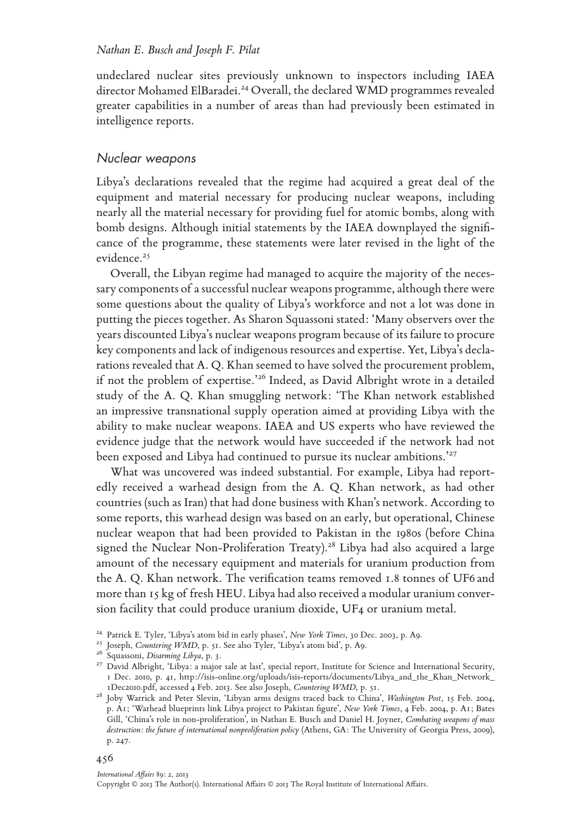undeclared nuclear sites previously unknown to inspectors including IAEA director Mohamed ElBaradei.<sup>24</sup> Overall, the declared WMD programmes revealed greater capabilities in a number of areas than had previously been estimated in intelligence reports.

# *Nuclear weapons*

Libya's declarations revealed that the regime had acquired a great deal of the equipment and material necessary for producing nuclear weapons, including nearly all the material necessary for providing fuel for atomic bombs, along with bomb designs. Although initial statements by the IAEA downplayed the significance of the programme, these statements were later revised in the light of the evidence.<sup>25</sup>

Overall, the Libyan regime had managed to acquire the majority of the necessary components of a successful nuclear weapons programme, although there were some questions about the quality of Libya's workforce and not a lot was done in putting the pieces together. As Sharon Squassoni stated: 'Many observers over the years discounted Libya's nuclear weapons program because of its failure to procure key components and lack of indigenous resources and expertise. Yet, Libya's declarations revealed that A. Q. Khan seemed to have solved the procurement problem, if not the problem of expertise.'26 Indeed, as David Albright wrote in a detailed study of the A. Q. Khan smuggling network: 'The Khan network established an impressive transnational supply operation aimed at providing Libya with the ability to make nuclear weapons. IAEA and US experts who have reviewed the evidence judge that the network would have succeeded if the network had not been exposed and Libya had continued to pursue its nuclear ambitions.'<sup>27</sup>

What was uncovered was indeed substantial. For example, Libya had reportedly received a warhead design from the A. Q. Khan network, as had other countries (such as Iran) that had done business with Khan's network. According to some reports, this warhead design was based on an early, but operational, Chinese nuclear weapon that had been provided to Pakistan in the 1980s (before China signed the Nuclear Non-Proliferation Treaty).<sup>28</sup> Libya had also acquired a large amount of the necessary equipment and materials for uranium production from the A. Q. Khan network. The verification teams removed 1.8 tonnes of UF6 and more than 15 kg of fresh HEU. Libya had also received a modular uranium conversion facility that could produce uranium dioxide, UF4 or uranium metal.

<sup>&</sup>lt;sup>24</sup> Patrick E. Tyler, 'Libya's atom bid in early phases', *New York Times*, 30 Dec. 2003, p. A9.<br><sup>25</sup> Joseph, *Countering WMD*, p. 51. See also Tyler, 'Libya's atom bid', p. A9.<br><sup>26</sup> Squassoni, *Disarming Libya*, p. 3.<br><sup></sup> 1 Dec. 2010, p. 41, http://isis-online.org/uploads/isis-reports/documents/Libya\_and\_the\_Khan\_Network\_

<sup>1</sup>Dec2010.pdf, accessed 4 Feb. 2013. See also Joseph, *Countering WMD*, p. 51. <sup>28</sup> Joby Warrick and Peter Slevin, 'Libyan arms designs traced back to China', *Washington Post*, 15 Feb. 2004, p. A1; 'Warhead blueprints link Libya project to Pakistan figure', *New York Times*, 4 Feb. 2004, p. A1; Bates Gill, 'China's role in non-proliferation', in Nathan E. Busch and Daniel H. Joyner, *Combating weapons of mass destruction: the future of international nonproliferation policy* (Athens, GA: The University of Georgia Press, 2009), p. 247.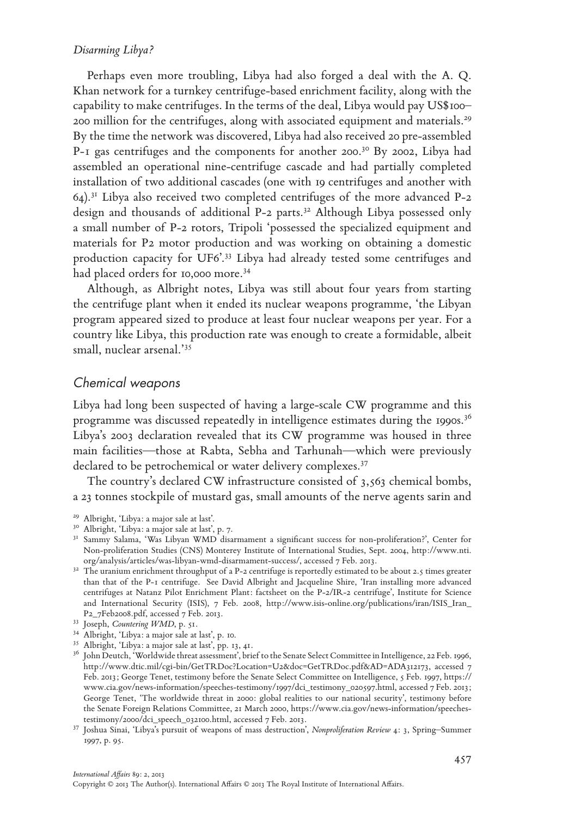Perhaps even more troubling, Libya had also forged a deal with the A. Q. Khan network for a turnkey centrifuge-based enrichment facility, along with the capability to make centrifuges. In the terms of the deal, Libya would pay US\$100– 200 million for the centrifuges, along with associated equipment and materials.<sup>29</sup> By the time the network was discovered, Libya had also received 20 pre-assembled P-1 gas centrifuges and the components for another 200.30 By 2002, Libya had assembled an operational nine-centrifuge cascade and had partially completed installation of two additional cascades (one with 19 centrifuges and another with 64).31 Libya also received two completed centrifuges of the more advanced P-2 design and thousands of additional P-2 parts.<sup>32</sup> Although Libya possessed only a small number of P-2 rotors, Tripoli 'possessed the specialized equipment and materials for P2 motor production and was working on obtaining a domestic production capacity for UF6'.33 Libya had already tested some centrifuges and had placed orders for 10,000 more.<sup>34</sup>

Although, as Albright notes, Libya was still about four years from starting the centrifuge plant when it ended its nuclear weapons programme, 'the Libyan program appeared sized to produce at least four nuclear weapons per year. For a country like Libya, this production rate was enough to create a formidable, albeit small, nuclear arsenal.'35

# *Chemical weapons*

Libya had long been suspected of having a large-scale CW programme and this programme was discussed repeatedly in intelligence estimates during the 1990s.<sup>36</sup> Libya's 2003 declaration revealed that its CW programme was housed in three main facilities—those at Rabta, Sebha and Tarhunah—which were previously declared to be petrochemical or water delivery complexes.<sup>37</sup>

The country's declared CW infrastructure consisted of 3,563 chemical bombs, a 23 tonnes stockpile of mustard gas, small amounts of the nerve agents sarin and

- 
- 

- than that of the P-1 centrifuge. See David Albright and Jacqueline Shire, 'Iran installing more advanced centrifuges at Natanz Pilot Enrichment Plant: factsheet on the P-2/IR-2 centrifuge', Institute for Science and International Security (ISIS), 7 Feb. 2008, http://www.isis-online.org/publications/iran/ISIS\_Iran\_<br>P2\_7Feb2008.pdf, accessed 7 Feb. 2013.
- 
- 
- 
- <sup>33</sup> Joseph, *Countering WMD*, p. 51.<br><sup>34</sup> Albright, 'Libya: a major sale at last', p. 10.<br><sup>35</sup> Albright, 'Libya: a major sale at last', pp. 13, 41.<br><sup>36</sup> John Deutch, 'Worldwide threat assessment', brief to the Senate Sel http://www.dtic.mil/cgi-bin/GetTRDoc?Location=U2&doc=GetTRDoc.pdf&AD=ADA312173, accessed 7 Feb. 2013; George Tenet, testimony before the Senate Select Committee on Intelligence, 5 Feb. 1997, https:// www.cia.gov/news-information/speeches-testimony/1997/dci\_testimony\_020597.html, accessed 7 Feb. 2013; George Tenet, 'The worldwide threat in 2000: global realities to our national security', testimony before the Senate Foreign Relations Committee, 21 March 2000, https://www.cia.gov/news-information/speechestestimony/2000/dci\_speech\_032100.html, accessed 7 Feb. 2013. <sup>37</sup> Joshua Sinai, 'Libya's pursuit of weapons of mass destruction', *Nonproliferation Review* 4: 3, Spring–Summer
- 1997, p. 95.

<sup>&</sup>lt;sup>29</sup> Albright, 'Libya: a major sale at last'.<br><sup>30</sup> Albright, 'Libya: a major sale at last', p. 7.<br><sup>31</sup> Sammy Salama, 'Was Libyan WMD disarmament a significant success for non-proliferation?', Center for Non-proliferation Studies (CNS) Monterey Institute of International Studies, Sept. 2004, http://www.nti. org/analysis/articles/was-libyan-wmd-disarmament-success/, accessed 7 Feb. 2013. <sup>32</sup> The uranium enrichment throughput of a P-2 centrifuge is reportedly estimated to be about 2.5 times greater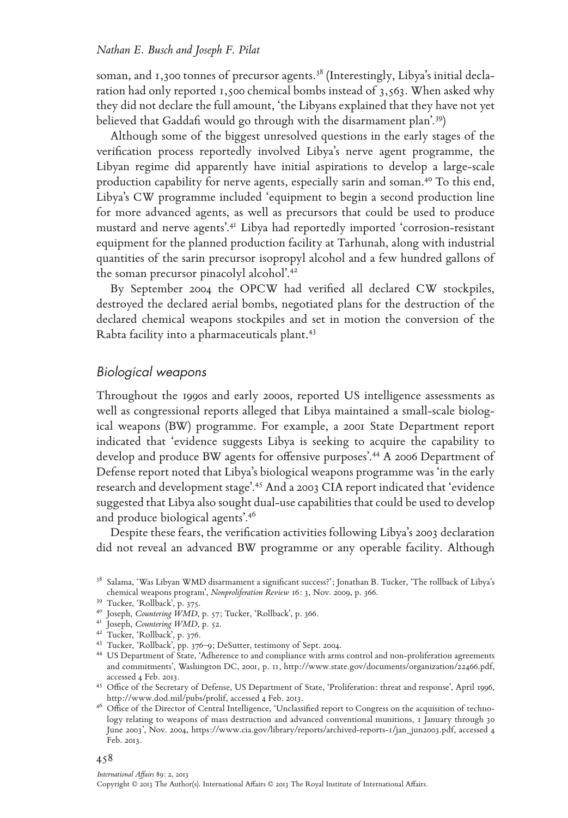soman, and  $1,300$  tonnes of precursor agents.<sup>38</sup> (Interestingly, Libya's initial declaration had only reported 1,500 chemical bombs instead of 3,563. When asked why they did not declare the full amount, 'the Libyans explained that they have not yet believed that Gaddafi would go through with the disarmament plan'.39)

Although some of the biggest unresolved questions in the early stages of the verification process reportedly involved Libya's nerve agent programme, the Libyan regime did apparently have initial aspirations to develop a large-scale production capability for nerve agents, especially sarin and soman.<sup>40</sup> To this end, Libya's CW programme included 'equipment to begin a second production line for more advanced agents, as well as precursors that could be used to produce mustard and nerve agents'.41 Libya had reportedly imported 'corrosion-resistant equipment for the planned production facility at Tarhunah, along with industrial quantities of the sarin precursor isopropyl alcohol and a few hundred gallons of the soman precursor pinacolyl alcohol'.42

By September 2004 the OPCW had verified all declared CW stockpiles, destroyed the declared aerial bombs, negotiated plans for the destruction of the declared chemical weapons stockpiles and set in motion the conversion of the Rabta facility into a pharmaceuticals plant.43

# *Biological weapons*

Throughout the 1990s and early 2000s, reported US intelligence assessments as well as congressional reports alleged that Libya maintained a small-scale biological weapons (BW) programme. For example, a 2001 State Department report indicated that 'evidence suggests Libya is seeking to acquire the capability to develop and produce BW agents for offensive purposes'.<sup>44</sup> A 2006 Department of Defense report noted that Libya's biological weapons programme was 'in the early research and development stage'.45 And a 2003 CIA report indicated that 'evidence suggested that Libya also sought dual-use capabilities that could be used to develop and produce biological agents'.46

Despite these fears, the verification activities following Libya's 2003 declaration did not reveal an advanced BW programme or any operable facility. Although

<sup>&</sup>lt;sup>38</sup> Salama, 'Was Libyan WMD disarmament a significant success?'; Jonathan B. Tucker, 'The rollback of Libya's chemical weapons program', *Nonproliferation Review* 16: 3, Nov. 2009, p. 366.

<sup>&</sup>lt;sup>39</sup> Tucker, 'Rollback', p. 375.<br>
<sup>40</sup> Joseph, *Countering WMD*, p. 57; Tucker, 'Rollback', p. 366.<br>
<sup>41</sup> Joseph, *Countering WMD*, p. 52.<br>
<sup>42</sup> Tucker, 'Rollback', p. 376.<br>
<sup>43</sup> Tucker, 'Rollback', pp. 376–9; DeSutter, te and commitments', Washington DC, 2001, p. 11, http://www.state.gov/documents/organization/22466.pdf,

accessed 4 Feb. 2013.<br>
<sup>45</sup> Office of the Secretary of Defense, US Department of State, 'Proliferation: threat and response', April 1996,<br>
http://www.dod.mil/pubs/prolif, accessed 4 Feb. 2013.

<sup>&</sup>lt;sup>46</sup> Office of the Director of Central Intelligence, 'Unclassified report to Congress on the acquisition of technology relating to weapons of mass destruction and advanced conventional munitions, 1 January through 30 June 2003', Nov. 2004, https://www.cia.gov/library/reports/archived-reports-1/jan\_jun2003.pdf, accessed 4 Feb. 2013.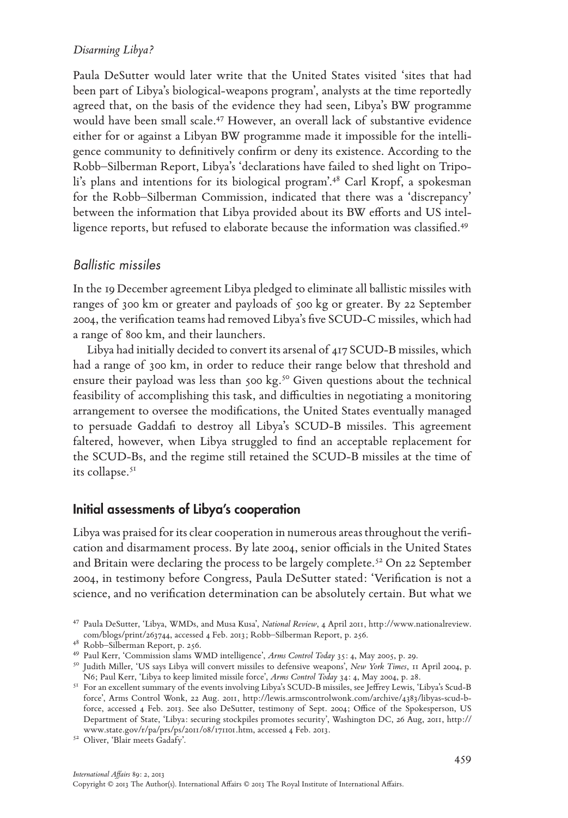Paula DeSutter would later write that the United States visited 'sites that had been part of Libya's biological-weapons program', analysts at the time reportedly agreed that, on the basis of the evidence they had seen, Libya's BW programme would have been small scale.47 However, an overall lack of substantive evidence either for or against a Libyan BW programme made it impossible for the intelligence community to definitively confirm or deny its existence. According to the Robb–Silberman Report, Libya's 'declarations have failed to shed light on Tripoli's plans and intentions for its biological program'.48 Carl Kropf, a spokesman for the Robb–Silberman Commission, indicated that there was a 'discrepancy' between the information that Libya provided about its BW efforts and US intelligence reports, but refused to elaborate because the information was classified.<sup>49</sup>

# *Ballistic missiles*

In the 19 December agreement Libya pledged to eliminate all ballistic missiles with ranges of 300 km or greater and payloads of 500 kg or greater. By 22 September 2004, the verification teams had removed Libya's five SCUD-C missiles, which had a range of 800 km, and their launchers.

Libya had initially decided to convert its arsenal of 417 SCUD-B missiles, which had a range of 300 km, in order to reduce their range below that threshold and ensure their payload was less than 500 kg.<sup>50</sup> Given questions about the technical feasibility of accomplishing this task, and difficulties in negotiating a monitoring arrangement to oversee the modifications, the United States eventually managed to persuade Gaddafi to destroy all Libya's SCUD-B missiles. This agreement faltered, however, when Libya struggled to find an acceptable replacement for the SCUD-Bs, and the regime still retained the SCUD-B missiles at the time of its collapse.<sup>51</sup>

# Initial assessments of Libya's cooperation

Libya was praised for its clear cooperation in numerous areas throughout the verification and disarmament process. By late 2004, senior officials in the United States and Britain were declaring the process to be largely complete.<sup>52</sup> On 22 September 2004, in testimony before Congress, Paula DeSutter stated: 'Verification is not a science, and no verification determination can be absolutely certain. But what we

<sup>47</sup> Paula DeSutter, 'Libya, WMDs, and Musa Kusa', *National Review*, 4 April 2011, http://www.nationalreview.

com/blogs/print/263744, accessed 4 Feb. 2013; Robb–Silberman Report, p. 256.<br><sup>48</sup> Robb–Silberman Report, p. 256.<br><sup>49</sup> Paul Kerr, 'Commission slams WMD intelligence', *Arms Control Today* 35: 4, May 2005, p. 29.<br><sup>50</sup> Judith

<sup>&</sup>lt;sup>51</sup> For an excellent summary of the events involving Libya's SCUD-B missiles, see Jeffrey Lewis, 'Libya's Scud-B force', Arms Control Wonk, 22 Aug. 2011, http://lewis.armscontrolwonk.com/archive/4383/libyas-scud-bforce, accessed 4 Feb. 2013. See also DeSutter, testimony of Sept. 2004; Office of the Spokesperson, US Department of State, 'Libya: securing stockpiles promotes security', Washington DC, 26 Aug, 2011, http:// www.state.gov/r/pa/prs/ps/2011/08/171101.htm, accessed 4 Feb. 2013. <sup>52</sup> Oliver, 'Blair meets Gadafy'.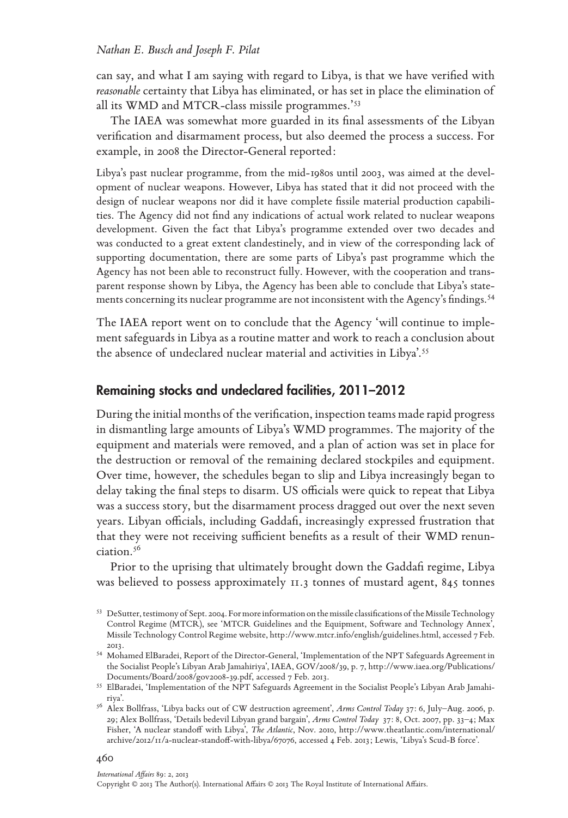#### *Nathan E. Busch and Joseph F. Pilat*

can say, and what I am saying with regard to Libya, is that we have verified with *reasonable* certainty that Libya has eliminated, or has set in place the elimination of all its WMD and MTCR-class missile programmes.'53

The IAEA was somewhat more guarded in its final assessments of the Libyan verification and disarmament process, but also deemed the process a success. For example, in 2008 the Director-General reported:

Libya's past nuclear programme, from the mid-1980s until 2003, was aimed at the development of nuclear weapons. However, Libya has stated that it did not proceed with the design of nuclear weapons nor did it have complete fissile material production capabilities. The Agency did not find any indications of actual work related to nuclear weapons development. Given the fact that Libya's programme extended over two decades and was conducted to a great extent clandestinely, and in view of the corresponding lack of supporting documentation, there are some parts of Libya's past programme which the Agency has not been able to reconstruct fully. However, with the cooperation and transparent response shown by Libya, the Agency has been able to conclude that Libya's statements concerning its nuclear programme are not inconsistent with the Agency's findings.<sup>54</sup>

The IAEA report went on to conclude that the Agency 'will continue to implement safeguards in Libya as a routine matter and work to reach a conclusion about the absence of undeclared nuclear material and activities in Libya'.<sup>55</sup>

# Remaining stocks and undeclared facilities, 2011–2012

During the initial months of the verification, inspection teams made rapid progress in dismantling large amounts of Libya's WMD programmes. The majority of the equipment and materials were removed, and a plan of action was set in place for the destruction or removal of the remaining declared stockpiles and equipment. Over time, however, the schedules began to slip and Libya increasingly began to delay taking the final steps to disarm. US officials were quick to repeat that Libya was a success story, but the disarmament process dragged out over the next seven years. Libyan officials, including Gaddafi, increasingly expressed frustration that that they were not receiving sufficient benefits as a result of their WMD renunciation.56

Prior to the uprising that ultimately brought down the Gaddafi regime, Libya was believed to possess approximately 11.3 tonnes of mustard agent, 845 tonnes

#### 460

*International Affairs* 89: 2, 2013

Copyright © 2013 The Author(s). International Affairs © 2013 The Royal Institute of International Affairs.

<sup>&</sup>lt;sup>53</sup> DeSutter, testimony of Sept. 2004. For more information on the missile classifications of the Missile Technology Control Regime (MTCR), see 'MTCR Guidelines and the Equipment, Software and Technology Annex', Missile Technology Control Regime website, http://www.mtcr.info/english/guidelines.html, accessed 7 Feb. 2013. <sup>54</sup> Mohamed ElBaradei, Report of the Director-General, 'Implementation of the NPT Safeguards Agreement in

the Socialist People's Libyan Arab Jamahiriya', IAEA, GOV/2008/39, p. 7, http://www.iaea.org/Publications/ Documents/Board/2008/gov2008-39.pdf, accessed 7 Feb. 2013. <sup>55</sup> ElBaradei, 'Implementation of the NPT Safeguards Agreement in the Socialist People's Libyan Arab Jamahi -

riya'. <sup>56</sup> Alex Bollfrass, 'Libya backs out of CW destruction agreement', *Arms Control Today* 37: 6, July–Aug. 2006, p. 29; Alex Bollfrass, 'Details bedevil Libyan grand bargain', *Arms Control Today* 37: 8, Oct. 2007, pp. 33–4; Max Fisher, 'A nuclear standoff with Libya', *The Atlantic*, Nov. 2010, http://www.theatlantic.com/international/ archive/2012/11/a-nuclear-standoff-with-libya/67076, accessed 4 Feb. 2013; Lewis, 'Libya's Scud-B force'.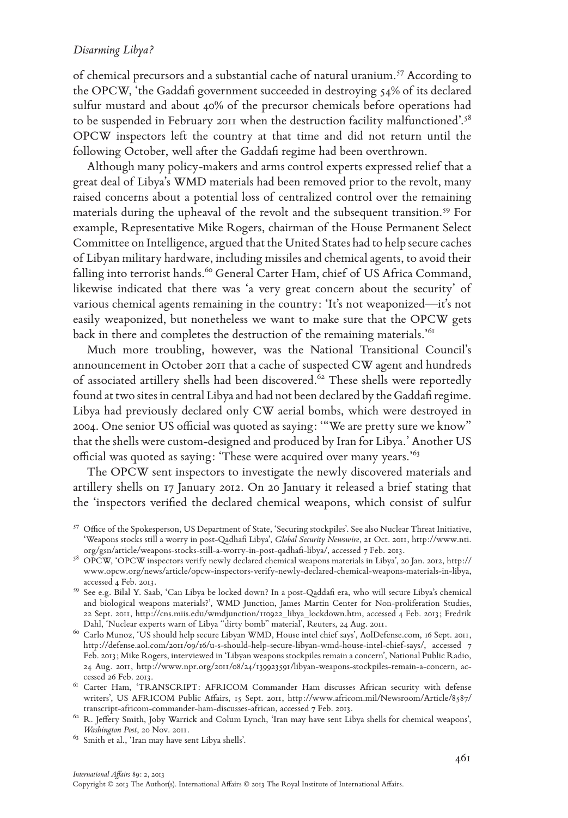of chemical precursors and a substantial cache of natural uranium.<sup>57</sup> According to the OPCW, 'the Gaddafi government succeeded in destroying 54% of its declared sulfur mustard and about 40% of the precursor chemicals before operations had to be suspended in February 2011 when the destruction facility malfunctioned'.<sup>58</sup> OPCW inspectors left the country at that time and did not return until the following October, well after the Gaddafi regime had been overthrown.

Although many policy-makers and arms control experts expressed relief that a great deal of Libya's WMD materials had been removed prior to the revolt, many raised concerns about a potential loss of centralized control over the remaining materials during the upheaval of the revolt and the subsequent transition.<sup>59</sup> For example, Representative Mike Rogers, chairman of the House Permanent Select Committee on Intelligence, argued that the United States had to help secure caches of Libyan military hardware, including missiles and chemical agents, to avoid their falling into terrorist hands.<sup>60</sup> General Carter Ham, chief of US Africa Command, likewise indicated that there was 'a very great concern about the security' of various chemical agents remaining in the country: 'It's not weaponized—it's not easily weaponized, but nonetheless we want to make sure that the OPCW gets back in there and completes the destruction of the remaining materials.<sup>'61</sup>

Much more troubling, however, was the National Transitional Council's announcement in October 2011 that a cache of suspected CW agent and hundreds of associated artillery shells had been discovered.<sup>62</sup> These shells were reportedly found at two sites in central Libya and had not been declared by the Gaddafi regime. Libya had previously declared only CW aerial bombs, which were destroyed in 2004. One senior US official was quoted as saying: '"We are pretty sure we know" that the shells were custom-designed and produced by Iran for Libya.' Another US official was quoted as saying: 'These were acquired over many years.'63

The OPCW sent inspectors to investigate the newly discovered materials and artillery shells on 17 January 2012. On 20 January it released a brief stating that the 'inspectors verified the declared chemical weapons, which consist of sulfur

- org/gsn/article/weapons-stocks-still-a-worry-in-post-qadhafi-libya/, accessed 7 Feb. 2013. <sup>58</sup> OPCW, 'OPCW inspectors verify newly declared chemical weapons materials in Libya', 20 Jan. 2012, http:// www.opcw.org/news/article/opcw-inspectors-verify-newly-declared-chemical-weapons-materials-in-libya,
- accessed 4 Feb. 2013.  $^{59}$  See e.g. Bilal Y. Saab, 'Can Libya be locked down? In a post-Qaddafi era, who will secure Libya's chemical and biological weapons materials?', WMD Junction, James Martin Center for Non-proliferation Studies, 22 Sept. 2011, http://cns.miis.edu/wmdjunction/110922\_libya\_lockdown.htm, accessed 4 Feb. 2013; Fredrik
- Dahl, 'Nuclear experts warn of Libya "dirty bomb" material', Reuters, 24 Aug. 2011. <sup>60</sup> Carlo Munoz, 'US should help secure Libyan WMD, House intel chief says', AolDefense.com, 16 Sept. 2011, http://defense.aol.com/2011/09/16/u-s-should-help-secure-libyan-wmd-house-intel-chief-says/, accessed 7 Feb. 2013; Mike Rogers, interviewed in 'Libyan weapons stockpiles remain a concern', National Public Radio, 24 Aug. 2011, http://www.npr.org/2011/08/24/139923591/libyan-weapons-stockpiles-remain-a-concern, ac -
- <sup>61</sup> Carter Ham, 'TRANSCRIPT: AFRICOM Commander Ham discusses African security with defense writers', US AFRICOM Public Affairs, 15 Sept. 2011, http://www.africom.mil/Newsroom/Article/8587/
- transcript-africom-commander-ham-discusses-african, accessed 7 Feb. 2013. <sup>62</sup> R. Jeffery Smith, Joby Warrick and Colum Lynch, 'Iran may have sent Libya shells for chemical weapons', *Washington Post*, 20 Nov. 2011. <sup>63</sup> Smith et al., 'Iran may have sent Libya shells'.
- 

<sup>57</sup> Office of the Spokesperson, US Department of State, 'Securing stockpiles'. See also Nuclear Threat Initiative, 'Weapons stocks still a worry in post-Qadhafi Libya', *Global Security Newswire*, 21 Oct. 2011, http://www.nti.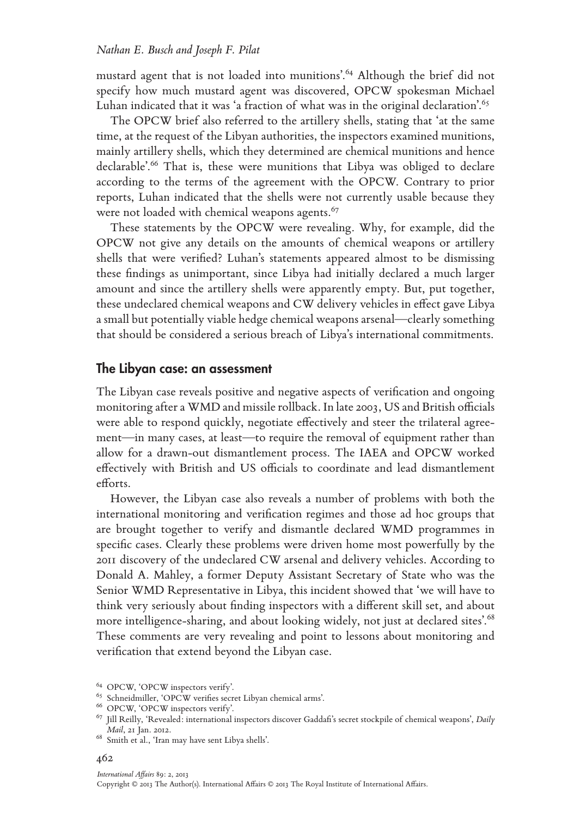mustard agent that is not loaded into munitions'.<sup>64</sup> Although the brief did not specify how much mustard agent was discovered, OPCW spokesman Michael Luhan indicated that it was 'a fraction of what was in the original declaration'.<sup>65</sup>

The OPCW brief also referred to the artillery shells, stating that 'at the same time, at the request of the Libyan authorities, the inspectors examined munitions, mainly artillery shells, which they determined are chemical munitions and hence declarable'.66 That is, these were munitions that Libya was obliged to declare according to the terms of the agreement with the OPCW. Contrary to prior reports, Luhan indicated that the shells were not currently usable because they were not loaded with chemical weapons agents.<sup>67</sup>

These statements by the OPCW were revealing. Why, for example, did the OPCW not give any details on the amounts of chemical weapons or artillery shells that were verified? Luhan's statements appeared almost to be dismissing these findings as unimportant, since Libya had initially declared a much larger amount and since the artillery shells were apparently empty. But, put together, these undeclared chemical weapons and CW delivery vehicles in effect gave Libya a small but potentially viable hedge chemical weapons arsenal—clearly something that should be considered a serious breach of Libya's international commitments.

# The Libyan case: an assessment

The Libyan case reveals positive and negative aspects of verification and ongoing monitoring after a WMD and missile rollback. In late 2003, US and British officials were able to respond quickly, negotiate effectively and steer the trilateral agreement—in many cases, at least—to require the removal of equipment rather than allow for a drawn-out dismantlement process. The IAEA and OPCW worked effectively with British and US officials to coordinate and lead dismantlement efforts.

However, the Libyan case also reveals a number of problems with both the international monitoring and verification regimes and those ad hoc groups that are brought together to verify and dismantle declared WMD programmes in specific cases. Clearly these problems were driven home most powerfully by the 2011 discovery of the undeclared CW arsenal and delivery vehicles. According to Donald A. Mahley, a former Deputy Assistant Secretary of State who was the Senior WMD Representative in Libya, this incident showed that 'we will have to think very seriously about finding inspectors with a different skill set, and about more intelligence-sharing, and about looking widely, not just at declared sites'.<sup>68</sup> These comments are very revealing and point to lessons about monitoring and verification that extend beyond the Libyan case.

<sup>&</sup>lt;sup>64</sup> OPCW, 'OPCW inspectors verify'.<br>
<sup>65</sup> Schneidmiller, 'OPCW verifies secret Libyan chemical arms'.<br>
<sup>66</sup> OPCW, 'OPCW inspectors verify'.<br>
<sup>67</sup> Jill Reilly, 'Revealed: international inspectors discover Gaddafi's secret *Mail*, 21 Jan. 2012. <sup>68</sup> Smith et al., 'Iran may have sent Libya shells'.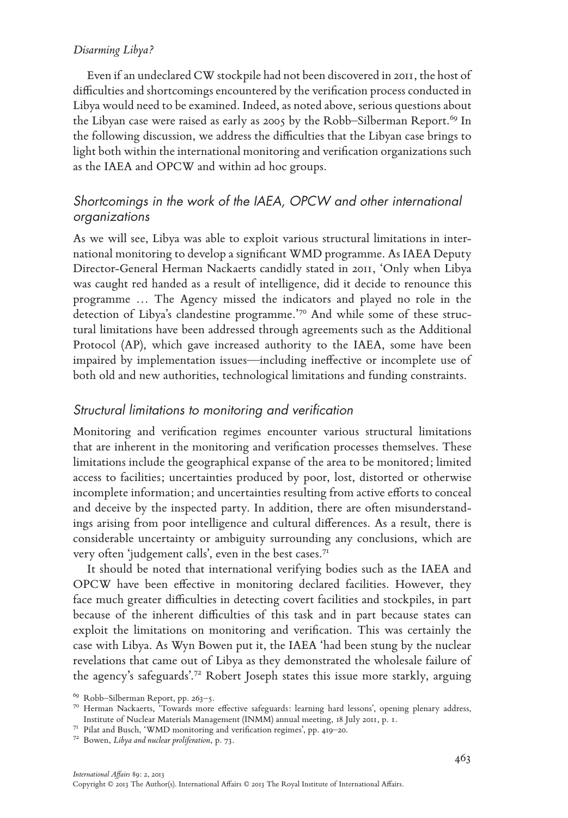Even if an undeclared CW stockpile had not been discovered in 2011, the host of difficulties and shortcomings encountered by the verification process conducted in Libya would need to be examined. Indeed, as noted above, serious questions about the Libyan case were raised as early as 2005 by the Robb–Silberman Report.<sup>69</sup> In the following discussion, we address the difficulties that the Libyan case brings to light both within the international monitoring and verification organizations such as the IAEA and OPCW and within ad hoc groups.

# *Shortcomings in the work of the IAEA, OPCW and other international organizations*

As we will see, Libya was able to exploit various structural limitations in international monitoring to develop a significant WMD programme. As IAEA Deputy Director-General Herman Nackaerts candidly stated in 2011, 'Only when Libya was caught red handed as a result of intelligence, did it decide to renounce this programme … The Agency missed the indicators and played no role in the detection of Libya's clandestine programme.'70 And while some of these structural limitations have been addressed through agreements such as the Additional Protocol (AP), which gave increased authority to the IAEA, some have been impaired by implementation issues—including ineffective or incomplete use of both old and new authorities, technological limitations and funding constraints.

# *Structural limitations to monitoring and verification*

Monitoring and verification regimes encounter various structural limitations that are inherent in the monitoring and verification processes themselves. These limitations include the geographical expanse of the area to be monitored; limited access to facilities; uncertainties produced by poor, lost, distorted or otherwise incomplete information; and uncertainties resulting from active efforts to conceal and deceive by the inspected party. In addition, there are often misunderstandings arising from poor intelligence and cultural differences. As a result, there is considerable uncertainty or ambiguity surrounding any conclusions, which are very often 'judgement calls', even in the best cases.<sup>71</sup>

It should be noted that international verifying bodies such as the IAEA and OPCW have been effective in monitoring declared facilities. However, they face much greater difficulties in detecting covert facilities and stockpiles, in part because of the inherent difficulties of this task and in part because states can exploit the limitations on monitoring and verification. This was certainly the case with Libya. As Wyn Bowen put it, the IAEA 'had been stung by the nuclear revelations that came out of Libya as they demonstrated the wholesale failure of the agency's safeguards'.72 Robert Joseph states this issue more starkly, arguing

 $^{69}$  Robb–Silberman Report, pp. 263–5.<br> $^{70}$  Herman Nackaerts, 'Towards more effective safeguards: learning hard lessons', opening plenary address, Institute of Nuclear Materials Management (INMM) annual meeting, 18 July 2011, p. 1. <sup>71</sup> Pilat and Busch, 'WMD monitoring and verification regimes', pp. 419–20. <sup>72</sup> Bowen, *Libya and nuclear proliferation*, p. 73.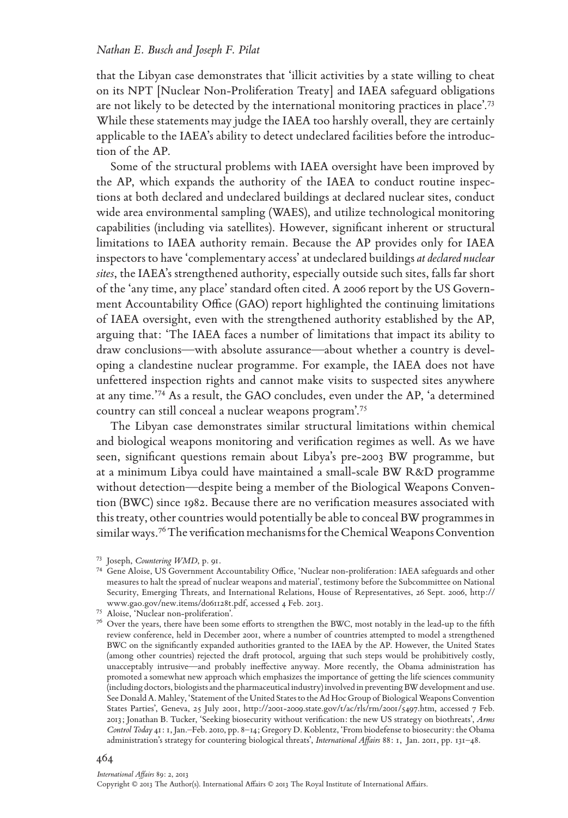#### *Nathan E. Busch and Joseph F. Pilat*

that the Libyan case demonstrates that 'illicit activities by a state willing to cheat on its NPT [Nuclear Non-Proliferation Treaty] and IAEA safeguard obligations are not likely to be detected by the international monitoring practices in place'.73 While these statements may judge the IAEA too harshly overall, they are certainly applicable to the IAEA's ability to detect undeclared facilities before the introduction of the AP.

Some of the structural problems with IAEA oversight have been improved by the AP, which expands the authority of the IAEA to conduct routine inspections at both declared and undeclared buildings at declared nuclear sites, conduct wide area environmental sampling (WAES), and utilize technological monitoring capabilities (including via satellites). However, significant inherent or structural limitations to IAEA authority remain. Because the AP provides only for IAEA inspectors to have 'complementary access' at undeclared buildings *at declared nuclear sites*, the IAEA's strengthened authority, especially outside such sites, falls far short of the 'any time, any place' standard often cited. A 2006 report by the US Government Accountability Office (GAO) report highlighted the continuing limitations of IAEA oversight, even with the strengthened authority established by the AP, arguing that: 'The IAEA faces a number of limitations that impact its ability to draw conclusions—with absolute assurance—about whether a country is developing a clandestine nuclear programme. For example, the IAEA does not have unfettered inspection rights and cannot make visits to suspected sites anywhere at any time.'74 As a result, the GAO concludes, even under the AP, 'a determined country can still conceal a nuclear weapons program'.75

The Libyan case demonstrates similar structural limitations within chemical and biological weapons monitoring and verification regimes as well. As we have seen, significant questions remain about Libya's pre-2003 BW programme, but at a minimum Libya could have maintained a small-scale BW R&D programme without detection—despite being a member of the Biological Weapons Convention (BWC) since 1982. Because there are no verification measures associated with this treaty, other countries would potentially be able to conceal BW programmes in similar ways.<sup>76</sup> The verification mechanisms for the Chemical Weapons Convention

<sup>&</sup>lt;sup>73</sup> Joseph, *Countering WMD*, p. 91.<br><sup>74</sup> Gene Aloise, US Government Accountability Office, 'Nuclear non-proliferation: IAEA safeguards and other measures to halt the spread of nuclear weapons and material', testimony before the Subcommittee on National Security, Emerging Threats, and International Relations, House of Representatives, 26 Sept. 2006, http://

<sup>&</sup>lt;sup>75</sup> Aloise, 'Nuclear non-proliferation'.  $\overline{C}$ <br><sup>76</sup> Over the years, there have been some efforts to strengthen the BWC, most notably in the lead-up to the fifth review conference, held in December 2001, where a number of countries attempted to model a strengthened BWC on the significantly expanded authorities granted to the IAEA by the AP. However, the United States (among other countries) rejected the draft protocol, arguing that such steps would be prohibitively costly, unacceptably intrusive—and probably ineffective anyway. More recently, the Obama administration has promoted a somewhat new approach which emphasizes the importance of getting the life sciences community (including doctors, biologists and the pharmaceutical industry) involved in preventing BW development and use. See Donald A. Mahley, 'Statement of the United States to the Ad Hoc Group of Biological Weapons Convention States Parties', Geneva, 25 July 2001, http://2001-2009.state.gov/t/ac/rls/rm/2001/5497.htm, accessed 7 Feb. 2013; Jonathan B. Tucker, 'Seeking biosecurity without verification: the new US strategy on biothreats', *Arms Control Today* 41: 1, Jan.–Feb. 2010, pp. 8–14; Gregory D. Koblentz, 'From biodefense to biosecurity: the Obama administration's strategy for countering biological threats', *International Affairs* 88: 1, Jan. 2011, pp. 131–48.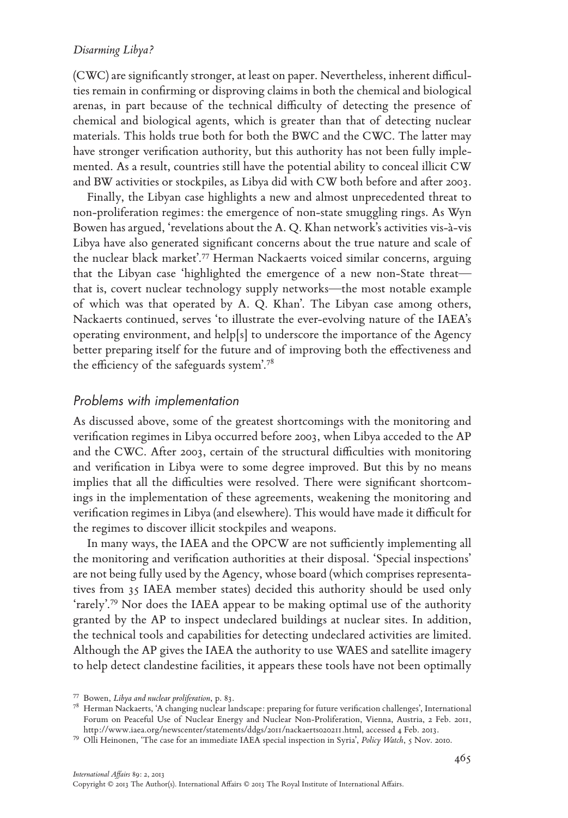(CWC) are significantly stronger, at least on paper. Nevertheless, inherent difficulties remain in confirming or disproving claims in both the chemical and biological arenas, in part because of the technical difficulty of detecting the presence of chemical and biological agents, which is greater than that of detecting nuclear materials. This holds true both for both the BWC and the CWC. The latter may have stronger verification authority, but this authority has not been fully implemented. As a result, countries still have the potential ability to conceal illicit CW and BW activities or stockpiles, as Libya did with CW both before and after 2003.

Finally, the Libyan case highlights a new and almost unprecedented threat to non-proliferation regimes: the emergence of non-state smuggling rings. As Wyn Bowen has argued, 'revelations about the A. Q. Khan network's activities vis-à-vis Libya have also generated significant concerns about the true nature and scale of the nuclear black market'.77 Herman Nackaerts voiced similar concerns, arguing that the Libyan case 'highlighted the emergence of a new non-State threat that is, covert nuclear technology supply networks—the most notable example of which was that operated by A. Q. Khan'. The Libyan case among others, Nackaerts continued, serves 'to illustrate the ever-evolving nature of the IAEA's operating environment, and help[s] to underscore the importance of the Agency better preparing itself for the future and of improving both the effectiveness and the efficiency of the safeguards system'.78

# *Problems with implementation*

As discussed above, some of the greatest shortcomings with the monitoring and verification regimes in Libya occurred before 2003, when Libya acceded to the AP and the CWC. After 2003, certain of the structural difficulties with monitoring and verification in Libya were to some degree improved. But this by no means implies that all the difficulties were resolved. There were significant shortcomings in the implementation of these agreements, weakening the monitoring and verification regimes in Libya (and elsewhere). This would have made it difficult for the regimes to discover illicit stockpiles and weapons.

In many ways, the IAEA and the OPCW are not sufficiently implementing all the monitoring and verification authorities at their disposal. 'Special inspections' are not being fully used by the Agency, whose board (which comprises representatives from 35 IAEA member states) decided this authority should be used only 'rarely'.79 Nor does the IAEA appear to be making optimal use of the authority granted by the AP to inspect undeclared buildings at nuclear sites. In addition, the technical tools and capabilities for detecting undeclared activities are limited. Although the AP gives the IAEA the authority to use WAES and satellite imagery to help detect clandestine facilities, it appears these tools have not been optimally

<sup>&</sup>lt;sup>77</sup> Bowen, *Libya and nuclear proliferation*, p. 83.<br><sup>78</sup> Herman Nackaerts, 'A changing nuclear landscape: preparing for future verification challenges', International Forum on Peaceful Use of Nuclear Energy and Nuclear Non-Proliferation, Vienna, Austria, 2 Feb. 2011,

http://www.iaea.org/newscenter/statements/ddgs/2011/nackaerts020211.html, accessed 4 Feb. 2013. <sup>79</sup> Olli Heinonen, 'The case for an immediate IAEA special inspection in Syria', *Policy Watch*, 5 Nov. 2010.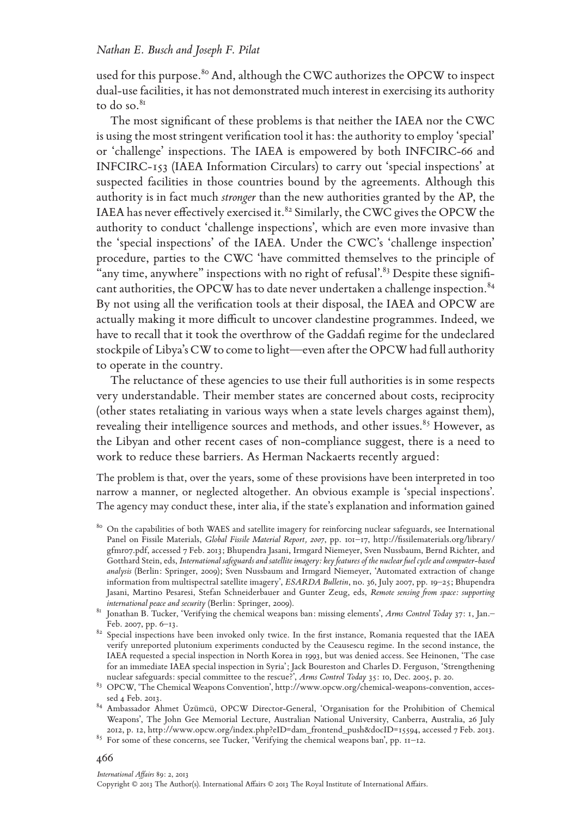used for this purpose.<sup>80</sup> And, although the CWC authorizes the OPCW to inspect dual-use facilities, it has not demonstrated much interest in exercising its authority to do so.<sup>81</sup>

The most significant of these problems is that neither the IAEA nor the CWC is using the most stringent verification tool it has: the authority to employ 'special' or 'challenge' inspections. The IAEA is empowered by both INFCIRC-66 and INFCIRC-153 (IAEA Information Circulars) to carry out 'special inspections' at suspected facilities in those countries bound by the agreements. Although this authority is in fact much *stronger* than the new authorities granted by the AP, the IAEA has never effectively exercised it.<sup>82</sup> Similarly, the CWC gives the OPCW the authority to conduct 'challenge inspections', which are even more invasive than the 'special inspections' of the IAEA. Under the CWC's 'challenge inspection' procedure, parties to the CWC 'have committed themselves to the principle of "any time, anywhere" inspections with no right of refusal'. $83$  Despite these significant authorities, the OPCW has to date never undertaken a challenge inspection.<sup>84</sup> By not using all the verification tools at their disposal, the IAEA and OPCW are actually making it more difficult to uncover clandestine programmes. Indeed, we have to recall that it took the overthrow of the Gaddafi regime for the undeclared stockpile of Libya's CW to come to light—even after the OPCW had full authority to operate in the country.

The reluctance of these agencies to use their full authorities is in some respects very understandable. Their member states are concerned about costs, reciprocity (other states retaliating in various ways when a state levels charges against them), revealing their intelligence sources and methods, and other issues.<sup>85</sup> However, as the Libyan and other recent cases of non-compliance suggest, there is a need to work to reduce these barriers. As Herman Nackaerts recently argued:

The problem is that, over the years, some of these provisions have been interpreted in too narrow a manner, or neglected altogether. An obvious example is 'special inspections'. The agency may conduct these, inter alia, if the state's explanation and information gained

- <sup>80</sup> On the capabilities of both WAES and satellite imagery for reinforcing nuclear safeguards, see International Panel on Fissile Materials, *Global Fissile Material Report, 2007*, pp. 101–17, http://fissilematerials.org/library/ gfmr07.pdf, accessed 7 Feb. 2013; Bhupendra Jasani, Irmgard Niemeyer, Sven Nussbaum, Bernd Richter, and Gotthard Stein, eds, *International safeguards and satellite imagery: key features of the nuclear fuel cycle and computer-based analysis* (Berlin: Springer, 2009); Sven Nussbaum and Irmgard Niemeyer, 'Automated extraction of change information from multispectral satellite imagery', *ESARDA Bulletin*, no. 36, July 2007, pp. 19–25; Bhupendra Jasani, Martino Pesaresi, Stefan Schneiderbauer and Gunter Zeug, eds, *Remote sensing from space: supporting*
- *international peace and security* (Berlin: Springer, 2009). <sup>81</sup> Jonathan B. Tucker, 'Verifying the chemical weapons ban: missing elements', *Arms Control Today* 37: 1, Jan.– Feb. 2007, pp. 6–13. 82 Special inspections have been invoked only twice. In the first instance, Romania requested that the IAEA
- verify unreported plutonium experiments conducted by the Ceausescu regime. In the second instance, the IAEA requested a special inspection in North Korea in 1993, but was denied access. See Heinonen, 'The case for an immediate IAEA special inspection in Syria'; Jack Boureston and Charles D. Ferguson, 'Strengthening
- nuclear safeguards: special committee to the rescue?', *Arms Control Today* 35: 10, Dec. 2005, p. 20.<br><sup>83</sup> OPCW, 'The Chemical Weapons Convention', http://www.opcw.org/chemical-weapons-convention, accessed 4 Feb. 2013.
- 84 Ambassador Ahmet Üzümcü, OPCW Director-General, 'Organisation for the Prohibition of Chemical Weapons', The John Gee Memorial Lecture, Australian National University, Canberra, Australia, 26 July 2012, p. 12, http://www.opcw.org/index.php?eID=dam\_frontend\_push&docID=15594, accessed 7 Feb. 2013. 85 For some of these concerns, see Tucker, 'Verifying the chemical weapons ban', pp. 11–12.
-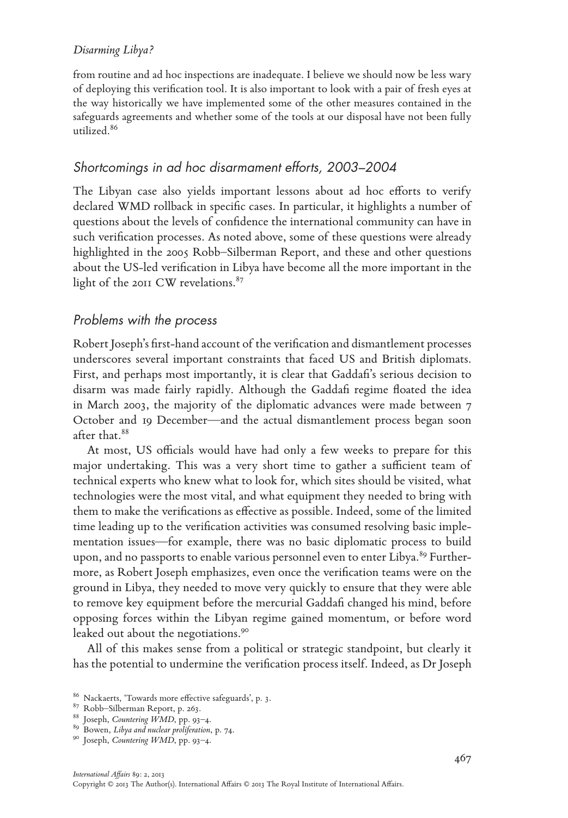from routine and ad hoc inspections are inadequate. I believe we should now be less wary of deploying this verification tool. It is also important to look with a pair of fresh eyes at the way historically we have implemented some of the other measures contained in the safeguards agreements and whether some of the tools at our disposal have not been fully utilized.86

# *Shortcomings in ad hoc disarmament efforts, 2003–2004*

The Libyan case also yields important lessons about ad hoc efforts to verify declared WMD rollback in specific cases. In particular, it highlights a number of questions about the levels of confidence the international community can have in such verification processes. As noted above, some of these questions were already highlighted in the 2005 Robb–Silberman Report, and these and other questions about the US-led verification in Libya have become all the more important in the light of the 2011 CW revelations.<sup>87</sup>

# *Problems with the process*

Robert Joseph's first-hand account of the verification and dismantlement processes underscores several important constraints that faced US and British diplomats. First, and perhaps most importantly, it is clear that Gaddafi's serious decision to disarm was made fairly rapidly. Although the Gaddafi regime floated the idea in March 2003, the majority of the diplomatic advances were made between 7 October and 19 December—and the actual dismantlement process began soon after that.<sup>88</sup>

At most, US officials would have had only a few weeks to prepare for this major undertaking. This was a very short time to gather a sufficient team of technical experts who knew what to look for, which sites should be visited, what technologies were the most vital, and what equipment they needed to bring with them to make the verifications as effective as possible. Indeed, some of the limited time leading up to the verification activities was consumed resolving basic implementation issues—for example, there was no basic diplomatic process to build upon, and no passports to enable various personnel even to enter Libya.<sup>89</sup> Furthermore, as Robert Joseph emphasizes, even once the verification teams were on the ground in Libya, they needed to move very quickly to ensure that they were able to remove key equipment before the mercurial Gaddafi changed his mind, before opposing forces within the Libyan regime gained momentum, or before word leaked out about the negotiations.<sup>90</sup>

All of this makes sense from a political or strategic standpoint, but clearly it has the potential to undermine the verification process itself. Indeed, as Dr Joseph

<sup>&</sup>lt;sup>86</sup> Nackaerts, 'Towards more effective safeguards', p. 3.<br><sup>87</sup> Robb–Silberman Report, p. 263.<br><sup>88</sup> Joseph, *Countering WMD*, pp. 93–4.<br><sup>89</sup> Bowen, *Libya and nuclear proliferation*, p. 74.<br><sup>90</sup> Joseph, *Countering WMD*, p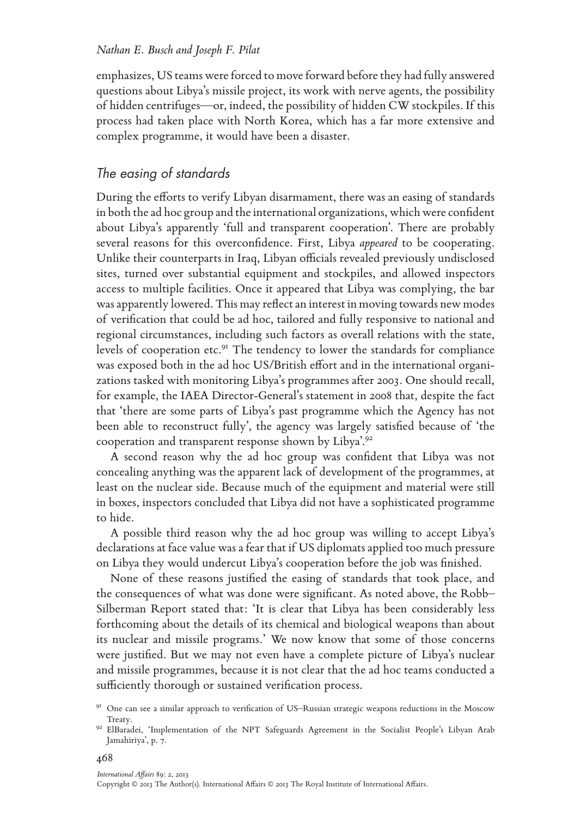#### *Nathan E. Busch and Joseph F. Pilat*

emphasizes, US teams were forced to move forward before they had fully answered questions about Libya's missile project, its work with nerve agents, the possibility of hidden centrifuges—or, indeed, the possibility of hidden CW stockpiles. If this process had taken place with North Korea, which has a far more extensive and complex programme, it would have been a disaster.

# *The easing of standards*

During the efforts to verify Libyan disarmament, there was an easing of standards in both the ad hoc group and the international organizations, which were confident about Libya's apparently 'full and transparent cooperation'. There are probably several reasons for this overconfidence. First, Libya *appeared* to be cooperating. Unlike their counterparts in Iraq, Libyan officials revealed previously undisclosed sites, turned over substantial equipment and stockpiles, and allowed inspectors access to multiple facilities. Once it appeared that Libya was complying, the bar was apparently lowered. This may reflect an interest in moving towards new modes of verification that could be ad hoc, tailored and fully responsive to national and regional circumstances, including such factors as overall relations with the state, levels of cooperation etc. $9^{\circ}$  The tendency to lower the standards for compliance was exposed both in the ad hoc US/British effort and in the international organizations tasked with monitoring Libya's programmes after 2003. One should recall, for example, the IAEA Director-General's statement in 2008 that, despite the fact that 'there are some parts of Libya's past programme which the Agency has not been able to reconstruct fully', the agency was largely satisfied because of 'the cooperation and transparent response shown by Libya'.92

A second reason why the ad hoc group was confident that Libya was not concealing anything was the apparent lack of development of the programmes, at least on the nuclear side. Because much of the equipment and material were still in boxes, inspectors concluded that Libya did not have a sophisticated programme to hide.

A possible third reason why the ad hoc group was willing to accept Libya's declarations at face value was a fear that if US diplomats applied too much pressure on Libya they would undercut Libya's cooperation before the job was finished.

None of these reasons justified the easing of standards that took place, and the consequences of what was done were significant. As noted above, the Robb– Silberman Report stated that: 'It is clear that Libya has been considerably less forthcoming about the details of its chemical and biological weapons than about its nuclear and missile programs.' We now know that some of those concerns were justified. But we may not even have a complete picture of Libya's nuclear and missile programmes, because it is not clear that the ad hoc teams conducted a sufficiently thorough or sustained verification process.

<sup>91</sup> One can see a similar approach to verification of US–Russian strategic weapons reductions in the Moscow Treaty. <sup>92</sup> ElBaradei, 'Implementation of the NPT Safeguards Agreement in the Socialist People's Libyan Arab

Jamahiriya', p. 7.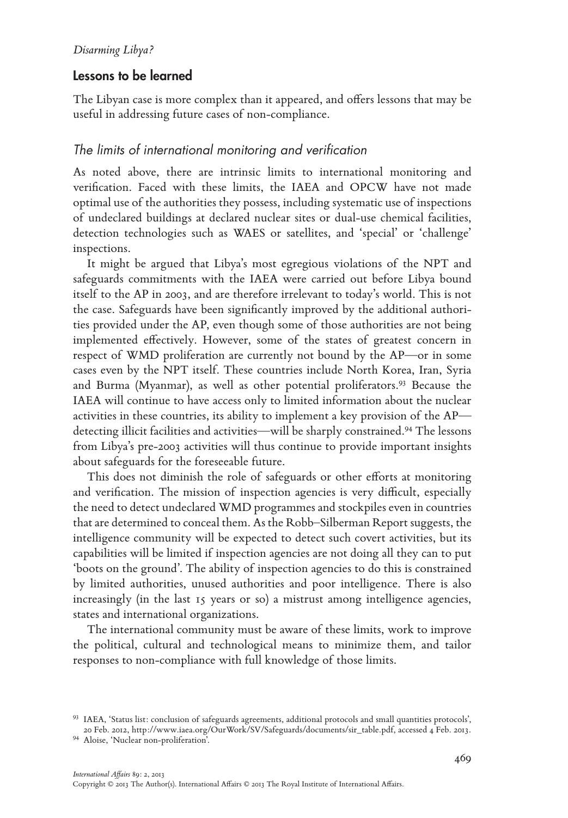# Lessons to be learned

The Libyan case is more complex than it appeared, and offers lessons that may be useful in addressing future cases of non-compliance.

# *The limits of international monitoring and verification*

As noted above, there are intrinsic limits to international monitoring and verification. Faced with these limits, the IAEA and OPCW have not made optimal use of the authorities they possess, including systematic use of inspections of undeclared buildings at declared nuclear sites or dual-use chemical facilities, detection technologies such as WAES or satellites, and 'special' or 'challenge' inspections.

It might be argued that Libya's most egregious violations of the NPT and safeguards commitments with the IAEA were carried out before Libya bound itself to the AP in 2003, and are therefore irrelevant to today's world. This is not the case. Safeguards have been significantly improved by the additional authorities provided under the AP, even though some of those authorities are not being implemented effectively. However, some of the states of greatest concern in respect of WMD proliferation are currently not bound by the AP—or in some cases even by the NPT itself. These countries include North Korea, Iran, Syria and Burma (Myanmar), as well as other potential proliferators.93 Because the IAEA will continue to have access only to limited information about the nuclear activities in these countries, its ability to implement a key provision of the AP detecting illicit facilities and activities—will be sharply constrained.94 The lessons from Libya's pre-2003 activities will thus continue to provide important insights about safeguards for the foreseeable future.

This does not diminish the role of safeguards or other efforts at monitoring and verification. The mission of inspection agencies is very difficult, especially the need to detect undeclared WMD programmes and stockpiles even in countries that are determined to conceal them. As the Robb–Silberman Report suggests, the intelligence community will be expected to detect such covert activities, but its capabilities will be limited if inspection agencies are not doing all they can to put 'boots on the ground'. The ability of inspection agencies to do this is constrained by limited authorities, unused authorities and poor intelligence. There is also increasingly (in the last 15 years or so) a mistrust among intelligence agencies, states and international organizations.

The international community must be aware of these limits, work to improve the political, cultural and technological means to minimize them, and tailor responses to non-compliance with full knowledge of those limits.

<sup>93</sup> IAEA, 'Status list: conclusion of safeguards agreements, additional protocols and small quantities protocols', 20 Feb. 2012, http://www.iaea.org/OurWork/SV/Safeguards/documents/sir\_table.pdf, accessed 4 Feb. 2013. <sup>94</sup> Aloise, 'Nuclear non-proliferation'.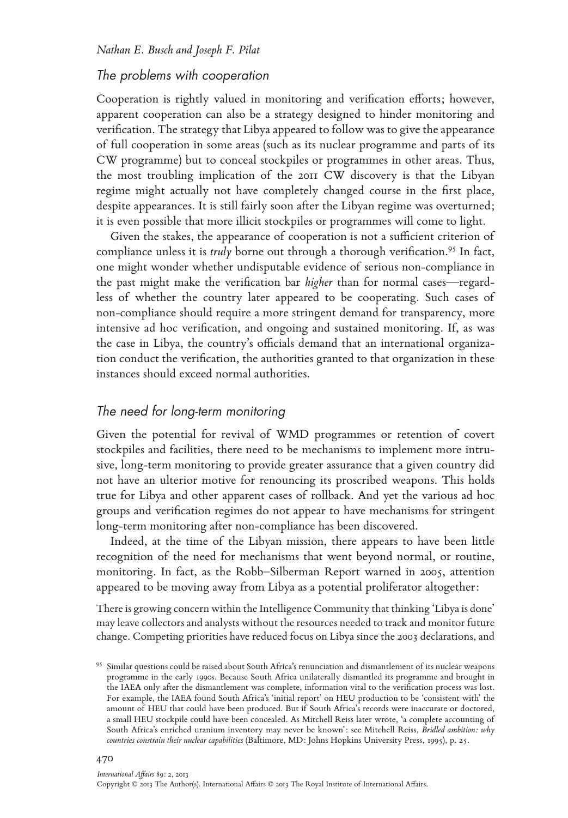# *The problems with cooperation*

Cooperation is rightly valued in monitoring and verification efforts; however, apparent cooperation can also be a strategy designed to hinder monitoring and verification. The strategy that Libya appeared to follow was to give the appearance of full cooperation in some areas (such as its nuclear programme and parts of its CW programme) but to conceal stockpiles or programmes in other areas. Thus, the most troubling implication of the 2011 CW discovery is that the Libyan regime might actually not have completely changed course in the first place, despite appearances. It is still fairly soon after the Libyan regime was overturned; it is even possible that more illicit stockpiles or programmes will come to light.

Given the stakes, the appearance of cooperation is not a sufficient criterion of compliance unless it is *truly* borne out through a thorough verification.<sup>95</sup> In fact, one might wonder whether undisputable evidence of serious non-compliance in the past might make the verification bar *higher* than for normal cases—regardless of whether the country later appeared to be cooperating. Such cases of non-compliance should require a more stringent demand for transparency, more intensive ad hoc verification, and ongoing and sustained monitoring. If, as was the case in Libya, the country's officials demand that an international organization conduct the verification, the authorities granted to that organization in these instances should exceed normal authorities.

# *The need for long-term monitoring*

Given the potential for revival of WMD programmes or retention of covert stockpiles and facilities, there need to be mechanisms to implement more intrusive, long-term monitoring to provide greater assurance that a given country did not have an ulterior motive for renouncing its proscribed weapons. This holds true for Libya and other apparent cases of rollback. And yet the various ad hoc groups and verification regimes do not appear to have mechanisms for stringent long-term monitoring after non-compliance has been discovered.

Indeed, at the time of the Libyan mission, there appears to have been little recognition of the need for mechanisms that went beyond normal, or routine, monitoring. In fact, as the Robb–Silberman Report warned in 2005, attention appeared to be moving away from Libya as a potential proliferator altogether:

There is growing concern within the Intelligence Community that thinking 'Libya is done' may leave collectors and analysts without the resources needed to track and monitor future change. Competing priorities have reduced focus on Libya since the 2003 declarations, and

<sup>&</sup>lt;sup>95</sup> Similar questions could be raised about South Africa's renunciation and dismantlement of its nuclear weapons programme in the early 1990s. Because South Africa unilaterally dismantled its programme and brought in the IAEA only after the dismantlement was complete, information vital to the verification process was lost. For example, the IAEA found South Africa's 'initial report' on HEU production to be 'consistent with' the amount of HEU that could have been produced. But if South Africa's records were inaccurate or doctored, a small HEU stockpile could have been concealed. As Mitchell Reiss later wrote, 'a complete accounting of South Africa's enriched uranium inventory may never be known': see Mitchell Reiss, *Bridled ambition: why countries constrain their nuclear capabilities* (Baltimore, MD: Johns Hopkins University Press, 1995), p. 25.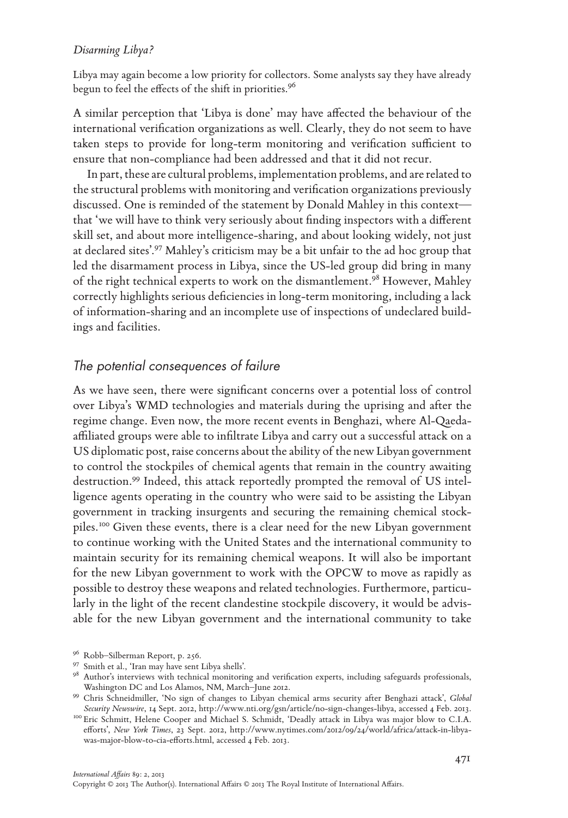Libya may again become a low priority for collectors. Some analysts say they have already begun to feel the effects of the shift in priorities.<sup>96</sup>

A similar perception that 'Libya is done' may have affected the behaviour of the international verification organizations as well. Clearly, they do not seem to have taken steps to provide for long-term monitoring and verification sufficient to ensure that non-compliance had been addressed and that it did not recur.

In part, these are cultural problems, implementation problems, and are related to the structural problems with monitoring and verification organizations previously discussed. One is reminded of the statement by Donald Mahley in this context that 'we will have to think very seriously about finding inspectors with a different skill set, and about more intelligence-sharing, and about looking widely, not just at declared sites'.97 Mahley's criticism may be a bit unfair to the ad hoc group that led the disarmament process in Libya, since the US-led group did bring in many of the right technical experts to work on the dismantlement.98 However, Mahley correctly highlights serious deficiencies in long-term monitoring, including a lack of information-sharing and an incomplete use of inspections of undeclared buildings and facilities.

# *The potential consequences of failure*

As we have seen, there were significant concerns over a potential loss of control over Libya's WMD technologies and materials during the uprising and after the regime change. Even now, the more recent events in Benghazi, where Al-Qaedaaffiliated groups were able to infiltrate Libya and carry out a successful attack on a US diplomatic post, raise concerns about the ability of the new Libyan government to control the stockpiles of chemical agents that remain in the country awaiting destruction.99 Indeed, this attack reportedly prompted the removal of US intelligence agents operating in the country who were said to be assisting the Libyan government in tracking insurgents and securing the remaining chemical stockpiles.100 Given these events, there is a clear need for the new Libyan government to continue working with the United States and the international community to maintain security for its remaining chemical weapons. It will also be important for the new Libyan government to work with the OPCW to move as rapidly as possible to destroy these weapons and related technologies. Furthermore, particularly in the light of the recent clandestine stockpile discovery, it would be advisable for the new Libyan government and the international community to take

<sup>%</sup> Robb–Silberman Report, p. 256.<br>
97 Smith et al., 'Iran may have sent Libya shells'.<br>
98 Author's interviews with technical monitoring and verification experts, including safeguards professionals,<br>
98 Author's interviews

<sup>&</sup>lt;sup>99</sup> Chris Schneidmiller, 'No sign of changes to Libyan chemical arms security after Benghazi attack', *Global* 

*Security Newswire*, 14 Sept. 2012, http://www.nti.org/gsn/article/no-sign-changes-libya, accessed 4 Feb. 2013. <sup>100</sup> Eric Schmitt, Helene Cooper and Michael S. Schmidt, 'Deadly attack in Libya was major blow to C.I.A. efforts', *New York Times*, 23 Sept. 2012, http://www.nytimes.com/2012/09/24/world/africa/attack-in-libyawas-major-blow-to-cia-efforts.html, accessed 4 Feb. 2013.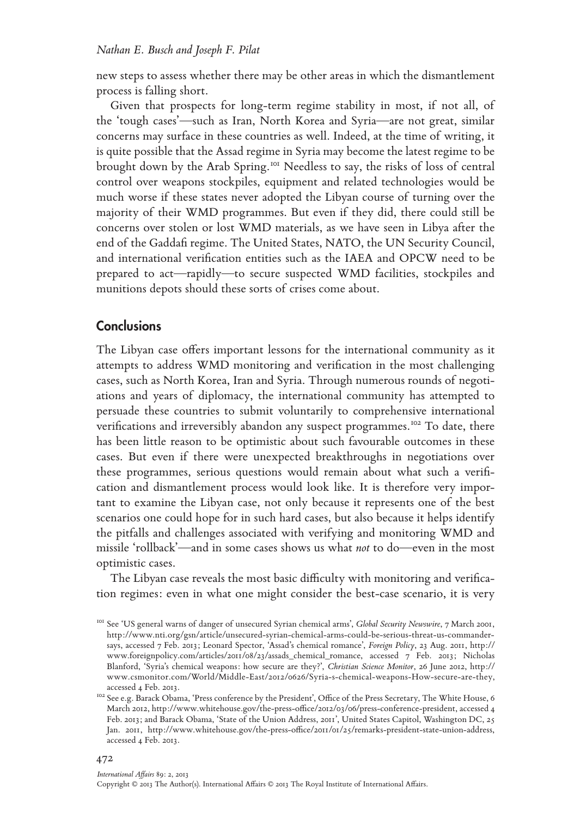new steps to assess whether there may be other areas in which the dismantlement process is falling short.

Given that prospects for long-term regime stability in most, if not all, of the 'tough cases'—such as Iran, North Korea and Syria—are not great, similar concerns may surface in these countries as well. Indeed, at the time of writing, it is quite possible that the Assad regime in Syria may become the latest regime to be brought down by the Arab Spring.<sup>101</sup> Needless to say, the risks of loss of central control over weapons stockpiles, equipment and related technologies would be much worse if these states never adopted the Libyan course of turning over the majority of their WMD programmes. But even if they did, there could still be concerns over stolen or lost WMD materials, as we have seen in Libya after the end of the Gaddafi regime. The United States, NATO, the UN Security Council, and international verification entities such as the IAEA and OPCW need to be prepared to act—rapidly—to secure suspected WMD facilities, stockpiles and munitions depots should these sorts of crises come about.

# **Conclusions**

The Libyan case offers important lessons for the international community as it attempts to address WMD monitoring and verification in the most challenging cases, such as North Korea, Iran and Syria. Through numerous rounds of negotiations and years of diplomacy, the international community has attempted to persuade these countries to submit voluntarily to comprehensive international verifications and irreversibly abandon any suspect programmes.<sup>102</sup> To date, there has been little reason to be optimistic about such favourable outcomes in these cases. But even if there were unexpected breakthroughs in negotiations over these programmes, serious questions would remain about what such a verification and dismantlement process would look like. It is therefore very important to examine the Libyan case, not only because it represents one of the best scenarios one could hope for in such hard cases, but also because it helps identify the pitfalls and challenges associated with verifying and monitoring WMD and missile 'rollback'—and in some cases shows us what *not* to do—even in the most optimistic cases.

The Libyan case reveals the most basic difficulty with monitoring and verification regimes: even in what one might consider the best-case scenario, it is very

<sup>101</sup> See 'US general warns of danger of unsecured Syrian chemical arms', *Global Security Newswire*, 7 March 2001, http://www.nti.org/gsn/article/unsecured-syrian-chemical-arms-could-be-serious-threat-us-commandersays, accessed 7 Feb. 2013; Leonard Spector, 'Assad's chemical romance', *Foreign Policy*, 23 Aug. 2011, http:// www.foreignpolicy.com/articles/2011/08/23/assads\_chemical\_romance, accessed 7 Feb. 2013; Nicholas Blanford, 'Syria's chemical weapons: how secure are they?', *Christian Science Monitor*, 26 June 2012, http:// www.csmonitor.com/World/Middle-East/2012/0626/Syria-s-chemical-weapons-How-secure-are-they, accessed 4 Feb. 2013. <sup>102</sup> See e.g. Barack Obama, 'Press conference by the President', Office of the Press Secretary, The White House, 6

March 2012, http://www.whitehouse.gov/the-press-office/2012/03/06/press-conference-president, accessed 4 Feb. 2013; and Barack Obama, 'State of the Union Address, 2011', United States Capitol, Washington DC, 25 Jan. 2011, http://www.whitehouse.gov/the-press-office/2011/01/25/remarks-president-state-union-address, accessed 4 Feb. 2013.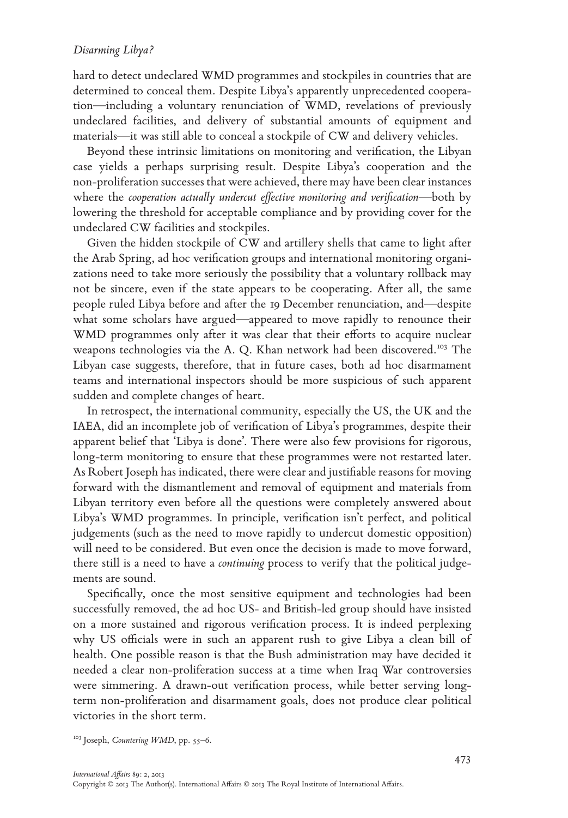hard to detect undeclared WMD programmes and stockpiles in countries that are determined to conceal them. Despite Libya's apparently unprecedented cooperation—including a voluntary renunciation of WMD, revelations of previously undeclared facilities, and delivery of substantial amounts of equipment and materials—it was still able to conceal a stockpile of CW and delivery vehicles.

Beyond these intrinsic limitations on monitoring and verification, the Libyan case yields a perhaps surprising result. Despite Libya's cooperation and the non-proliferation successes that were achieved, there may have been clear instances where the *cooperation actually undercut effective monitoring and verification*—both by lowering the threshold for acceptable compliance and by providing cover for the undeclared CW facilities and stockpiles.

Given the hidden stockpile of CW and artillery shells that came to light after the Arab Spring, ad hoc verification groups and international monitoring organizations need to take more seriously the possibility that a voluntary rollback may not be sincere, even if the state appears to be cooperating. After all, the same people ruled Libya before and after the 19 December renunciation, and—despite what some scholars have argued—appeared to move rapidly to renounce their WMD programmes only after it was clear that their efforts to acquire nuclear weapons technologies via the A. Q. Khan network had been discovered.<sup>103</sup> The Libyan case suggests, therefore, that in future cases, both ad hoc disarmament teams and international inspectors should be more suspicious of such apparent sudden and complete changes of heart.

In retrospect, the international community, especially the US, the UK and the IAEA, did an incomplete job of verification of Libya's programmes, despite their apparent belief that 'Libya is done'. There were also few provisions for rigorous, long-term monitoring to ensure that these programmes were not restarted later. As Robert Joseph has indicated, there were clear and justifiable reasons for moving forward with the dismantlement and removal of equipment and materials from Libyan territory even before all the questions were completely answered about Libya's WMD programmes. In principle, verification isn't perfect, and political judgements (such as the need to move rapidly to undercut domestic opposition) will need to be considered. But even once the decision is made to move forward, there still is a need to have a *continuing* process to verify that the political judgements are sound.

Specifically, once the most sensitive equipment and technologies had been successfully removed, the ad hoc US- and British-led group should have insisted on a more sustained and rigorous verification process. It is indeed perplexing why US officials were in such an apparent rush to give Libya a clean bill of health. One possible reason is that the Bush administration may have decided it needed a clear non-proliferation success at a time when Iraq War controversies were simmering. A drawn-out verification process, while better serving longterm non-proliferation and disarmament goals, does not produce clear political victories in the short term.

<sup>&</sup>lt;sup>103</sup> Joseph, *Countering WMD*, pp. 55-6.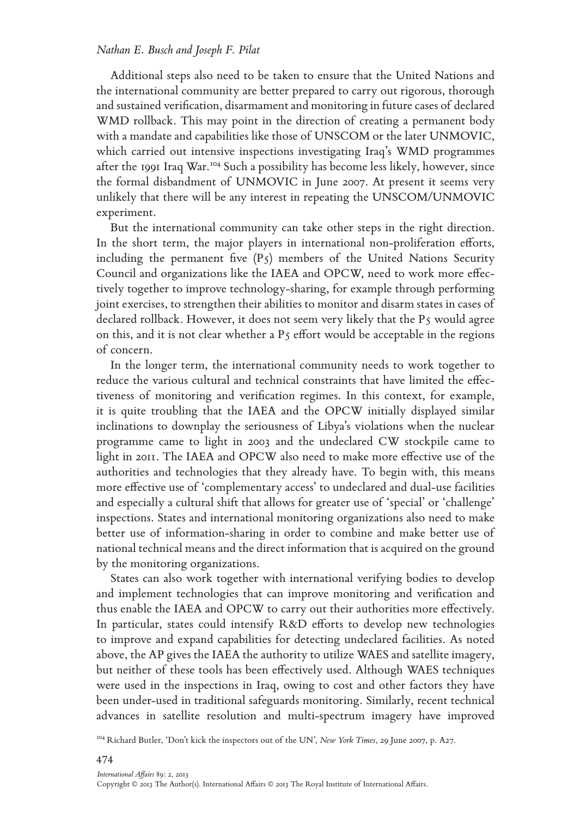### *Nathan E. Busch and Joseph F. Pilat*

Additional steps also need to be taken to ensure that the United Nations and the international community are better prepared to carry out rigorous, thorough and sustained verification, disarmament and monitoring in future cases of declared WMD rollback. This may point in the direction of creating a permanent body with a mandate and capabilities like those of UNSCOM or the later UNMOVIC, which carried out intensive inspections investigating Iraq's WMD programmes after the 1991 Iraq War.<sup>104</sup> Such a possibility has become less likely, however, since the formal disbandment of UNMOVIC in June 2007. At present it seems very unlikely that there will be any interest in repeating the UNSCOM/UNMOVIC experiment.

But the international community can take other steps in the right direction. In the short term, the major players in international non-proliferation efforts, including the permanent five  $(P_5)$  members of the United Nations Security Council and organizations like the IAEA and OPCW, need to work more effectively together to improve technology-sharing, for example through performing joint exercises, to strengthen their abilities to monitor and disarm states in cases of declared rollback. However, it does not seem very likely that the P5 would agree on this, and it is not clear whether a  $P_5$  effort would be acceptable in the regions of concern.

In the longer term, the international community needs to work together to reduce the various cultural and technical constraints that have limited the effectiveness of monitoring and verification regimes. In this context, for example, it is quite troubling that the IAEA and the OPCW initially displayed similar inclinations to downplay the seriousness of Libya's violations when the nuclear programme came to light in 2003 and the undeclared CW stockpile came to light in 2011. The IAEA and OPCW also need to make more effective use of the authorities and technologies that they already have. To begin with, this means more effective use of 'complementary access' to undeclared and dual-use facilities and especially a cultural shift that allows for greater use of 'special' or 'challenge' inspections. States and international monitoring organizations also need to make better use of information-sharing in order to combine and make better use of national technical means and the direct information that is acquired on the ground by the monitoring organizations.

States can also work together with international verifying bodies to develop and implement technologies that can improve monitoring and verification and thus enable the IAEA and OPCW to carry out their authorities more effectively. In particular, states could intensify R&D efforts to develop new technologies to improve and expand capabilities for detecting undeclared facilities. As noted above, the AP gives the IAEA the authority to utilize WAES and satellite imagery, but neither of these tools has been effectively used. Although WAES techniques were used in the inspections in Iraq, owing to cost and other factors they have been under-used in traditional safeguards monitoring. Similarly, recent technical advances in satellite resolution and multi-spectrum imagery have improved

<sup>104</sup> Richard Butler, 'Don't kick the inspectors out of the UN', *New York Times*, 29 June 2007, p. A27.